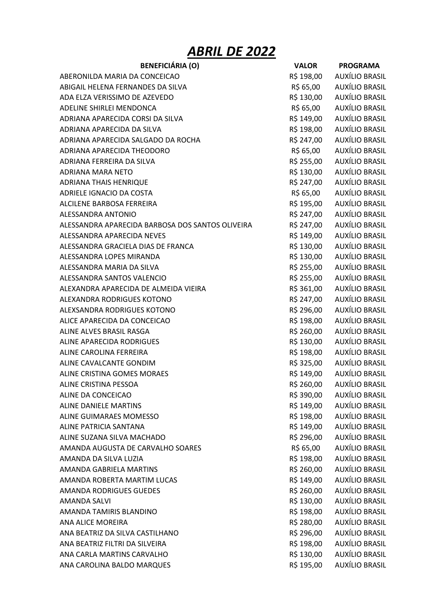## ABRIL DE 2022

| <b>BENEFICIÁRIA (O)</b>                          | <b>VALOR</b> | <b>PROGRAMA</b>       |
|--------------------------------------------------|--------------|-----------------------|
| ABERONILDA MARIA DA CONCEICAO                    | R\$ 198,00   | AUXÍLIO BRASIL        |
| ABIGAIL HELENA FERNANDES DA SILVA                | R\$ 65,00    | AUXÍLIO BRASIL        |
| ADA ELZA VERISSIMO DE AZEVEDO                    | R\$ 130,00   | AUXÍLIO BRASIL        |
| ADELINE SHIRLEI MENDONCA                         | R\$ 65,00    | AUXÍLIO BRASIL        |
| ADRIANA APARECIDA CORSI DA SILVA                 | R\$ 149,00   | <b>AUXÍLIO BRASIL</b> |
| ADRIANA APARECIDA DA SILVA                       | R\$ 198,00   | AUXÍLIO BRASIL        |
| ADRIANA APARECIDA SALGADO DA ROCHA               | R\$ 247,00   | AUXÍLIO BRASIL        |
| ADRIANA APARECIDA THEODORO                       | R\$ 65,00    | <b>AUXÍLIO BRASIL</b> |
| ADRIANA FERREIRA DA SILVA                        | R\$ 255,00   | <b>AUXÍLIO BRASIL</b> |
| ADRIANA MARA NETO                                | R\$ 130,00   | AUXÍLIO BRASIL        |
| <b>ADRIANA THAIS HENRIQUE</b>                    | R\$ 247,00   | <b>AUXÍLIO BRASIL</b> |
| ADRIELE IGNACIO DA COSTA                         | R\$ 65,00    | <b>AUXÍLIO BRASIL</b> |
| ALCILENE BARBOSA FERREIRA                        | R\$ 195,00   | <b>AUXÍLIO BRASIL</b> |
| ALESSANDRA ANTONIO                               | R\$ 247,00   | AUXÍLIO BRASIL        |
| ALESSANDRA APARECIDA BARBOSA DOS SANTOS OLIVEIRA | R\$ 247,00   | AUXÍLIO BRASIL        |
| ALESSANDRA APARECIDA NEVES                       | R\$ 149,00   | AUXÍLIO BRASIL        |
| ALESSANDRA GRACIELA DIAS DE FRANCA               |              | AUXÍLIO BRASIL        |
|                                                  | R\$ 130,00   | <b>AUXÍLIO BRASIL</b> |
| ALESSANDRA LOPES MIRANDA                         | R\$ 130,00   |                       |
| ALESSANDRA MARIA DA SILVA                        | R\$ 255,00   | AUXÍLIO BRASIL        |
| ALESSANDRA SANTOS VALENCIO                       | R\$ 255,00   | AUXÍLIO BRASIL        |
| ALEXANDRA APARECIDA DE ALMEIDA VIEIRA            | R\$ 361,00   | AUXÍLIO BRASIL        |
| ALEXANDRA RODRIGUES KOTONO                       | R\$ 247,00   | AUXÍLIO BRASIL        |
| ALEXSANDRA RODRIGUES KOTONO                      | R\$ 296,00   | <b>AUXÍLIO BRASIL</b> |
| ALICE APARECIDA DA CONCEICAO                     | R\$ 198,00   | <b>AUXÍLIO BRASIL</b> |
| ALINE ALVES BRASIL RASGA                         | R\$ 260,00   | <b>AUXÍLIO BRASIL</b> |
| ALINE APARECIDA RODRIGUES                        | R\$ 130,00   | AUXÍLIO BRASIL        |
| ALINE CAROLINA FERREIRA                          | R\$ 198,00   | <b>AUXÍLIO BRASIL</b> |
| ALINE CAVALCANTE GONDIM                          | R\$ 325,00   | AUXÍLIO BRASIL        |
| ALINE CRISTINA GOMES MORAES                      | R\$ 149,00   | AUXÍLIO BRASIL        |
| ALINE CRISTINA PESSOA                            | R\$ 260,00   | AUXÍLIO BRASIL        |
| ALINE DA CONCEICAO                               | R\$ 390,00   | AUXÍLIO BRASIL        |
| <b>ALINE DANIELE MARTINS</b>                     | R\$ 149,00   | <b>AUXÍLIO BRASIL</b> |
| ALINE GUIMARAES MOMESSO                          | R\$ 198,00   | AUXÍLIO BRASIL        |
| <b>ALINE PATRICIA SANTANA</b>                    | R\$ 149,00   | AUXÍLIO BRASIL        |
| ALINE SUZANA SILVA MACHADO                       | R\$ 296,00   | <b>AUXÍLIO BRASIL</b> |
| AMANDA AUGUSTA DE CARVALHO SOARES                | R\$ 65,00    | <b>AUXÍLIO BRASIL</b> |
| AMANDA DA SILVA LUZIA                            | R\$ 198,00   | <b>AUXÍLIO BRASIL</b> |
| <b>AMANDA GABRIELA MARTINS</b>                   | R\$ 260,00   | <b>AUXÍLIO BRASIL</b> |
| AMANDA ROBERTA MARTIM LUCAS                      | R\$ 149,00   | <b>AUXÍLIO BRASIL</b> |
| <b>AMANDA RODRIGUES GUEDES</b>                   | R\$ 260,00   | AUXÍLIO BRASIL        |
| <b>AMANDA SALVI</b>                              | R\$ 130,00   | AUXÍLIO BRASIL        |
| AMANDA TAMIRIS BLANDINO                          | R\$ 198,00   | <b>AUXÍLIO BRASIL</b> |
| <b>ANA ALICE MOREIRA</b>                         | R\$ 280,00   | <b>AUXÍLIO BRASIL</b> |
| ANA BEATRIZ DA SILVA CASTILHANO                  | R\$ 296,00   | AUXÍLIO BRASIL        |
| ANA BEATRIZ FILTRI DA SILVEIRA                   | R\$ 198,00   | <b>AUXÍLIO BRASIL</b> |
| ANA CARLA MARTINS CARVALHO                       | R\$ 130,00   | <b>AUXÍLIO BRASIL</b> |
| ANA CAROLINA BALDO MARQUES                       | R\$ 195,00   | <b>AUXÍLIO BRASIL</b> |
|                                                  |              |                       |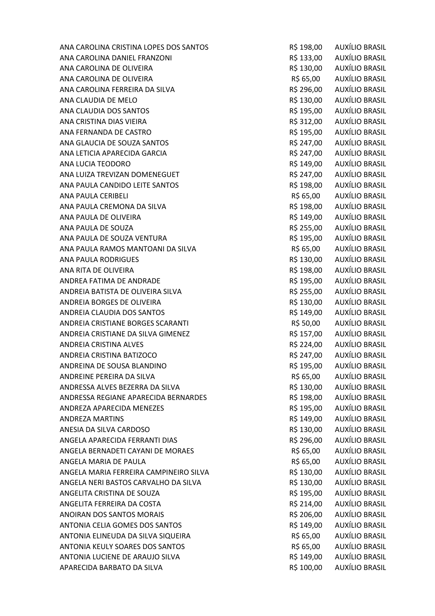| ANA CAROLINA CRISTINA LOPES DOS SANTOS | R\$ 198,00 | AUXÍLIO BRASIL        |
|----------------------------------------|------------|-----------------------|
| ANA CAROLINA DANIEL FRANZONI           | R\$ 133,00 | <b>AUXÍLIO BRASIL</b> |
| ANA CAROLINA DE OLIVEIRA               | R\$ 130,00 | AUXÍLIO BRASIL        |
| ANA CAROLINA DE OLIVEIRA               | R\$ 65,00  | <b>AUXÍLIO BRASIL</b> |
| ANA CAROLINA FERREIRA DA SILVA         | R\$ 296,00 | AUXÍLIO BRASIL        |
| ANA CLAUDIA DE MELO                    | R\$ 130,00 | AUXÍLIO BRASIL        |
| ANA CLAUDIA DOS SANTOS                 | R\$ 195,00 | <b>AUXÍLIO BRASIL</b> |
| ANA CRISTINA DIAS VIEIRA               | R\$ 312,00 | <b>AUXÍLIO BRASIL</b> |
| ANA FERNANDA DE CASTRO                 | R\$ 195,00 | AUXÍLIO BRASIL        |
| ANA GLAUCIA DE SOUZA SANTOS            | R\$ 247,00 | <b>AUXÍLIO BRASIL</b> |
| ANA LETICIA APARECIDA GARCIA           | R\$ 247,00 | <b>AUXÍLIO BRASIL</b> |
| ANA LUCIA TEODORO                      | R\$ 149,00 | <b>AUXÍLIO BRASIL</b> |
| ANA LUIZA TREVIZAN DOMENEGUET          | R\$ 247,00 | AUXÍLIO BRASIL        |
| ANA PAULA CANDIDO LEITE SANTOS         | R\$ 198,00 | <b>AUXÍLIO BRASIL</b> |
| ANA PAULA CERIBELI                     | R\$ 65,00  | <b>AUXÍLIO BRASIL</b> |
| ANA PAULA CREMONA DA SILVA             | R\$ 198,00 | <b>AUXÍLIO BRASIL</b> |
| ANA PAULA DE OLIVEIRA                  | R\$ 149,00 | <b>AUXÍLIO BRASIL</b> |
| ANA PAULA DE SOUZA                     | R\$ 255,00 | <b>AUXÍLIO BRASIL</b> |
| ANA PAULA DE SOUZA VENTURA             | R\$ 195,00 | <b>AUXÍLIO BRASIL</b> |
| ANA PAULA RAMOS MANTOANI DA SILVA      | R\$ 65,00  | AUXÍLIO BRASIL        |
| <b>ANA PAULA RODRIGUES</b>             | R\$ 130,00 | <b>AUXÍLIO BRASIL</b> |
| ANA RITA DE OLIVEIRA                   | R\$ 198,00 | <b>AUXÍLIO BRASIL</b> |
| ANDREA FATIMA DE ANDRADE               | R\$ 195,00 | <b>AUXÍLIO BRASIL</b> |
| ANDREIA BATISTA DE OLIVEIRA SILVA      | R\$ 255,00 | AUXÍLIO BRASIL        |
| ANDREIA BORGES DE OLIVEIRA             | R\$ 130,00 | <b>AUXÍLIO BRASIL</b> |
| ANDREIA CLAUDIA DOS SANTOS             | R\$ 149,00 | <b>AUXÍLIO BRASIL</b> |
| ANDREIA CRISTIANE BORGES SCARANTI      | R\$ 50,00  | <b>AUXÍLIO BRASIL</b> |
| ANDREIA CRISTIANE DA SILVA GIMENEZ     | R\$ 157,00 | <b>AUXÍLIO BRASIL</b> |
| <b>ANDREIA CRISTINA ALVES</b>          | R\$ 224,00 | AUXÍLIO BRASIL        |
| ANDREIA CRISTINA BATIZOCO              | R\$ 247,00 | <b>AUXÍLIO BRASIL</b> |
| ANDREINA DE SOUSA BLANDINO             | R\$ 195,00 | <b>AUXÍLIO BRASIL</b> |
| ANDREINE PEREIRA DA SILVA              | R\$ 65,00  | AUXÍLIO BRASIL        |
| ANDRESSA ALVES BEZERRA DA SILVA        | R\$ 130,00 | <b>AUXÍLIO BRASIL</b> |
| ANDRESSA REGIANE APARECIDA BERNARDES   | R\$ 198,00 | <b>AUXÍLIO BRASIL</b> |
| ANDREZA APARECIDA MENEZES              | R\$ 195,00 | <b>AUXÍLIO BRASIL</b> |
| <b>ANDREZA MARTINS</b>                 | R\$ 149,00 | <b>AUXÍLIO BRASIL</b> |
| ANESIA DA SILVA CARDOSO                | R\$ 130,00 | <b>AUXÍLIO BRASIL</b> |
| ANGELA APARECIDA FERRANTI DIAS         | R\$ 296,00 | <b>AUXÍLIO BRASIL</b> |
| ANGELA BERNADETI CAYANI DE MORAES      | R\$ 65,00  | <b>AUXÍLIO BRASIL</b> |
| ANGELA MARIA DE PAULA                  | R\$ 65,00  | <b>AUXÍLIO BRASIL</b> |
| ANGELA MARIA FERREIRA CAMPINEIRO SILVA | R\$ 130,00 | <b>AUXÍLIO BRASIL</b> |
| ANGELA NERI BASTOS CARVALHO DA SILVA   | R\$ 130,00 | <b>AUXÍLIO BRASIL</b> |
| ANGELITA CRISTINA DE SOUZA             | R\$ 195,00 | <b>AUXÍLIO BRASIL</b> |
| ANGELITA FERREIRA DA COSTA             | R\$ 214,00 | AUXÍLIO BRASIL        |
| ANOIRAN DOS SANTOS MORAIS              | R\$ 206,00 | <b>AUXÍLIO BRASIL</b> |
| ANTONIA CELIA GOMES DOS SANTOS         | R\$ 149,00 | <b>AUXÍLIO BRASIL</b> |
| ANTONIA ELINEUDA DA SILVA SIQUEIRA     | R\$ 65,00  | AUXÍLIO BRASIL        |
| ANTONIA KEULY SOARES DOS SANTOS        | R\$ 65,00  | <b>AUXÍLIO BRASIL</b> |
| ANTONIA LUCIENE DE ARAUJO SILVA        | R\$ 149,00 | AUXÍLIO BRASIL        |
| APARECIDA BARBATO DA SILVA             | R\$ 100,00 | <b>AUXÍLIO BRASIL</b> |
|                                        |            |                       |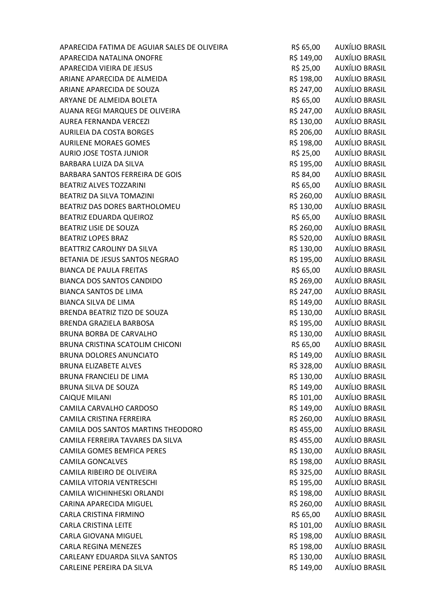| APARECIDA FATIMA DE AGUIAR SALES DE OLIVEIRA | R\$ 65,00  | AUXÍLIO BRASIL        |
|----------------------------------------------|------------|-----------------------|
| APARECIDA NATALINA ONOFRE                    | R\$ 149,00 | <b>AUXÍLIO BRASIL</b> |
| APARECIDA VIEIRA DE JESUS                    | R\$ 25,00  | AUXÍLIO BRASIL        |
| ARIANE APARECIDA DE ALMEIDA                  | R\$ 198,00 | AUXÍLIO BRASIL        |
| ARIANE APARECIDA DE SOUZA                    | R\$ 247,00 | AUXÍLIO BRASIL        |
| ARYANE DE ALMEIDA BOLETA                     | R\$ 65,00  | AUXÍLIO BRASIL        |
| AUANA REGI MARQUES DE OLIVEIRA               | R\$ 247,00 | AUXÍLIO BRASIL        |
| <b>AUREA FERNANDA VERCEZI</b>                | R\$ 130,00 | AUXÍLIO BRASIL        |
| <b>AURILEIA DA COSTA BORGES</b>              | R\$ 206,00 | AUXÍLIO BRASIL        |
| <b>AURILENE MORAES GOMES</b>                 | R\$ 198,00 | AUXÍLIO BRASIL        |
| AURIO JOSE TOSTA JUNIOR                      | R\$ 25,00  | <b>AUXÍLIO BRASIL</b> |
| BARBARA LUIZA DA SILVA                       | R\$ 195,00 | <b>AUXÍLIO BRASIL</b> |
| BARBARA SANTOS FERREIRA DE GOIS              | R\$ 84,00  | AUXÍLIO BRASIL        |
| <b>BEATRIZ ALVES TOZZARINI</b>               | R\$ 65,00  | AUXÍLIO BRASIL        |
| BEATRIZ DA SILVA TOMAZINI                    | R\$ 260,00 | AUXÍLIO BRASIL        |
| BEATRIZ DAS DORES BARTHOLOMEU                | R\$ 130,00 | <b>AUXÍLIO BRASIL</b> |
| BEATRIZ EDUARDA QUEIROZ                      | R\$ 65,00  | <b>AUXÍLIO BRASIL</b> |
| <b>BEATRIZ LISIE DE SOUZA</b>                | R\$ 260,00 | AUXÍLIO BRASIL        |
| <b>BEATRIZ LOPES BRAZ</b>                    | R\$ 520,00 | <b>AUXÍLIO BRASIL</b> |
| BEATTRIZ CAROLINY DA SILVA                   | R\$ 130,00 | AUXÍLIO BRASIL        |
| BETANIA DE JESUS SANTOS NEGRAO               | R\$ 195,00 | AUXÍLIO BRASIL        |
| <b>BIANCA DE PAULA FREITAS</b>               | R\$ 65,00  | <b>AUXÍLIO BRASIL</b> |
| <b>BIANCA DOS SANTOS CANDIDO</b>             | R\$ 269,00 | AUXÍLIO BRASIL        |
| <b>BIANCA SANTOS DE LIMA</b>                 | R\$ 247,00 | AUXÍLIO BRASIL        |
| <b>BIANCA SILVA DE LIMA</b>                  | R\$ 149,00 | AUXÍLIO BRASIL        |
| BRENDA BEATRIZ TIZO DE SOUZA                 | R\$ 130,00 | AUXÍLIO BRASIL        |
| BRENDA GRAZIELA BARBOSA                      | R\$ 195,00 | AUXÍLIO BRASIL        |
| <b>BRUNA BORBA DE CARVALHO</b>               | R\$ 130,00 | <b>AUXÍLIO BRASIL</b> |
| BRUNA CRISTINA SCATOLIM CHICONI              | R\$ 65,00  | <b>AUXÍLIO BRASIL</b> |
| <b>BRUNA DOLORES ANUNCIATO</b>               | R\$ 149,00 | <b>AUXÍLIO BRASIL</b> |
| <b>BRUNA ELIZABETE ALVES</b>                 | R\$ 328,00 | AUXÍLIO BRASIL        |
| <b>BRUNA FRANCIELI DE LIMA</b>               | R\$ 130,00 | <b>AUXÍLIO BRASIL</b> |
| <b>BRUNA SILVA DE SOUZA</b>                  | R\$ 149,00 | <b>AUXÍLIO BRASIL</b> |
| <b>CAIQUE MILANI</b>                         | R\$ 101,00 | <b>AUXÍLIO BRASIL</b> |
| CAMILA CARVALHO CARDOSO                      | R\$ 149,00 | <b>AUXÍLIO BRASIL</b> |
| CAMILA CRISTINA FERREIRA                     | R\$ 260,00 | <b>AUXÍLIO BRASIL</b> |
| CAMILA DOS SANTOS MARTINS THEODORO           | R\$455,00  | <b>AUXÍLIO BRASIL</b> |
| CAMILA FERREIRA TAVARES DA SILVA             | R\$455,00  | <b>AUXÍLIO BRASIL</b> |
| CAMILA GOMES BEMFICA PERES                   | R\$ 130,00 | AUXÍLIO BRASIL        |
| <b>CAMILA GONCALVES</b>                      | R\$ 198,00 | AUXÍLIO BRASIL        |
| CAMILA RIBEIRO DE OLIVEIRA                   | R\$ 325,00 | <b>AUXÍLIO BRASIL</b> |
| CAMILA VITORIA VENTRESCHI                    | R\$ 195,00 | <b>AUXÍLIO BRASIL</b> |
| CAMILA WICHINHESKI ORLANDI                   | R\$ 198,00 | AUXÍLIO BRASIL        |
| CARINA APARECIDA MIGUEL                      | R\$ 260,00 | <b>AUXÍLIO BRASIL</b> |
| CARLA CRISTINA FIRMINO                       | R\$ 65,00  | <b>AUXÍLIO BRASIL</b> |
| <b>CARLA CRISTINA LEITE</b>                  | R\$ 101,00 | <b>AUXÍLIO BRASIL</b> |
| CARLA GIOVANA MIGUEL                         | R\$ 198,00 | AUXÍLIO BRASIL        |
| <b>CARLA REGINA MENEZES</b>                  | R\$ 198,00 | <b>AUXÍLIO BRASIL</b> |
| CARLEANY EDUARDA SILVA SANTOS                | R\$ 130,00 | <b>AUXÍLIO BRASIL</b> |
| CARLEINE PEREIRA DA SILVA                    | R\$ 149,00 | <b>AUXÍLIO BRASIL</b> |
|                                              |            |                       |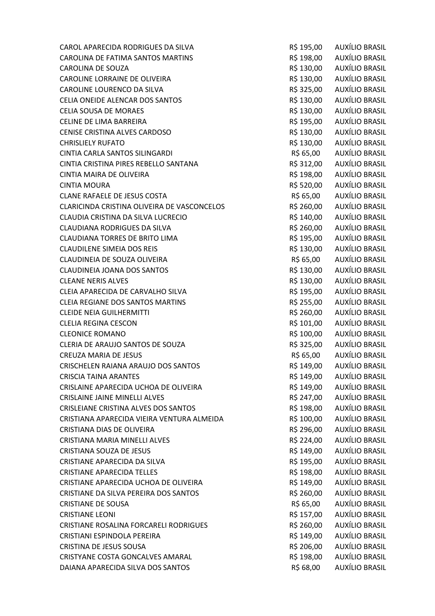| CAROL APARECIDA RODRIGUES DA SILVA          | R\$ 195,00 | AUXÍLIO BRASIL            |
|---------------------------------------------|------------|---------------------------|
| CAROLINA DE FATIMA SANTOS MARTINS           | R\$ 198,00 | <b>AUXÍLIO BRASIL</b>     |
| <b>CAROLINA DE SOUZA</b>                    | R\$ 130,00 | <b>AUXÍLIO BRASIL</b>     |
| CAROLINE LORRAINE DE OLIVEIRA               | R\$ 130,00 | AUXÍLIO BRASIL            |
| CAROLINE LOURENCO DA SILVA                  | R\$ 325,00 | AUXÍLIO BRASIL            |
| CELIA ONEIDE ALENCAR DOS SANTOS             | R\$ 130,00 | AUXÍLIO BRASIL            |
| <b>CELIA SOUSA DE MORAES</b>                | R\$ 130,00 | <b>AUXÍLIO BRASIL</b>     |
| CELINE DE LIMA BARREIRA                     | R\$ 195,00 | <b>AUXÍLIO BRASIL</b>     |
| CENISE CRISTINA ALVES CARDOSO               | R\$ 130,00 | <b>AUXÍLIO BRASIL</b>     |
| <b>CHRISLIELY RUFATO</b>                    | R\$ 130,00 | AUXÍLIO BRASIL            |
| CINTIA CARLA SANTOS SILINGARDI              | R\$ 65,00  | <b>AUXÍLIO BRASIL</b>     |
| CINTIA CRISTINA PIRES REBELLO SANTANA       | R\$ 312,00 | <b>AUXÍLIO BRASIL</b>     |
| CINTIA MAIRA DE OLIVEIRA                    | R\$ 198,00 | AUXÍLIO BRASIL            |
| <b>CINTIA MOURA</b>                         | R\$ 520,00 | <b>AUXÍLIO BRASIL</b>     |
| <b>CLANE RAFAELE DE JESUS COSTA</b>         | R\$ 65,00  | <b>AUXÍLIO BRASIL</b>     |
| CLARICINDA CRISTINA OLIVEIRA DE VASCONCELOS | R\$ 260,00 | <b>AUXÍLIO BRASIL</b>     |
| CLAUDIA CRISTINA DA SILVA LUCRECIO          | R\$ 140,00 | AUXÍLIO BRASIL            |
| <b>CLAUDIANA RODRIGUES DA SILVA</b>         | R\$ 260,00 | AUXÍLIO BRASIL            |
| <b>CLAUDIANA TORRES DE BRITO LIMA</b>       | R\$ 195,00 | <b>AUXÍLIO BRASIL</b>     |
| <b>CLAUDILENE SIMEIA DOS REIS</b>           | R\$ 130,00 | <b>AUXÍLIO BRASIL</b>     |
| CLAUDINEIA DE SOUZA OLIVEIRA                | R\$ 65,00  | <b>AUXÍLIO BRASIL</b>     |
| <b>CLAUDINEIA JOANA DOS SANTOS</b>          | R\$ 130,00 | <b>AUXÍLIO BRASIL</b>     |
| <b>CLEANE NERIS ALVES</b>                   | R\$ 130,00 | AUXÍLIO BRASIL            |
| CLEIA APARECIDA DE CARVALHO SILVA           | R\$ 195,00 | <b>AUXÍLIO BRASIL</b>     |
| <b>CLEIA REGIANE DOS SANTOS MARTINS</b>     | R\$ 255,00 | AUXÍLIO BRASIL            |
| <b>CLEIDE NEIA GUILHERMITTI</b>             | R\$ 260,00 | <b>AUXÍLIO BRASIL</b>     |
| <b>CLELIA REGINA CESCON</b>                 | R\$ 101,00 | <b>AUXÍLIO BRASIL</b>     |
| <b>CLEONICE ROMANO</b>                      | R\$ 100,00 | AUXÍLIO BRASIL            |
| CLERIA DE ARAUJO SANTOS DE SOUZA            |            | R\$ 325,00 AUXÍLIO BRASIL |
| <b>CREUZA MARIA DE JESUS</b>                | R\$ 65,00  | <b>AUXÍLIO BRASIL</b>     |
| CRISCHELEN RAIANA ARAUJO DOS SANTOS         | R\$ 149,00 | <b>AUXÍLIO BRASIL</b>     |
| <b>CRISCIA TAINA ARANTES</b>                | R\$ 149,00 | AUXÍLIO BRASIL            |
| CRISLAINE APARECIDA UCHOA DE OLIVEIRA       | R\$ 149,00 | <b>AUXÍLIO BRASIL</b>     |
| <b>CRISLAINE JAINE MINELLI ALVES</b>        | R\$ 247,00 | AUXÍLIO BRASIL            |
| CRISLEIANE CRISTINA ALVES DOS SANTOS        | R\$ 198,00 | AUXÍLIO BRASIL            |
| CRISTIANA APARECIDA VIEIRA VENTURA ALMEIDA  | R\$ 100,00 | AUXÍLIO BRASIL            |
| CRISTIANA DIAS DE OLIVEIRA                  | R\$ 296,00 | <b>AUXÍLIO BRASIL</b>     |
| CRISTIANA MARIA MINELLI ALVES               | R\$ 224,00 | <b>AUXÍLIO BRASIL</b>     |
| <b>CRISTIANA SOUZA DE JESUS</b>             | R\$ 149,00 | <b>AUXÍLIO BRASIL</b>     |
| CRISTIANE APARECIDA DA SILVA                | R\$ 195,00 | AUXÍLIO BRASIL            |
| <b>CRISTIANE APARECIDA TELLES</b>           | R\$ 198,00 | AUXÍLIO BRASIL            |
| CRISTIANE APARECIDA UCHOA DE OLIVEIRA       | R\$ 149,00 | <b>AUXÍLIO BRASIL</b>     |
| CRISTIANE DA SILVA PEREIRA DOS SANTOS       | R\$ 260,00 | <b>AUXÍLIO BRASIL</b>     |
| <b>CRISTIANE DE SOUSA</b>                   | R\$ 65,00  | <b>AUXÍLIO BRASIL</b>     |
| <b>CRISTIANE LEONI</b>                      | R\$ 157,00 | AUXÍLIO BRASIL            |
| CRISTIANE ROSALINA FORCARELI RODRIGUES      | R\$ 260,00 | AUXÍLIO BRASIL            |
| CRISTIANI ESPINDOLA PEREIRA                 | R\$ 149,00 | <b>AUXÍLIO BRASIL</b>     |
| <b>CRISTINA DE JESUS SOUSA</b>              | R\$ 206,00 | AUXÍLIO BRASIL            |
| CRISTYANE COSTA GONCALVES AMARAL            | R\$ 198,00 | <b>AUXÍLIO BRASIL</b>     |
| DAIANA APARECIDA SILVA DOS SANTOS           | R\$ 68,00  | <b>AUXÍLIO BRASIL</b>     |
|                                             |            |                           |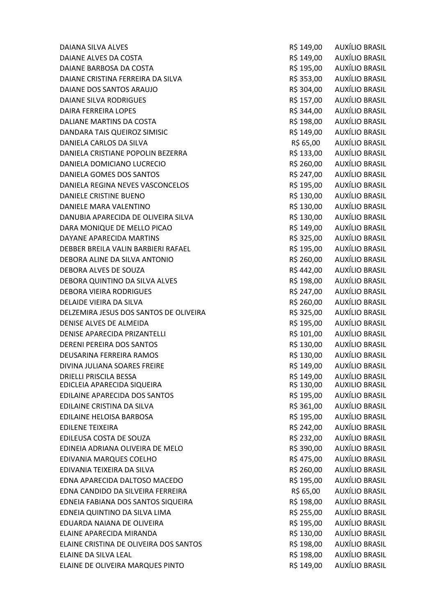DAIANE ALVES DA COSTA R\$ 149,00 AUXÍLIO BRASIL DAIANE BARBOSA DA COSTA R\$ 195,00 AUXÍLIO BRASIL DAIANE CRISTINA FERREIRA DA SILVA RESISTADO DA ESTADO DE AUXÍLIO BRASIL DAIANE DOS SANTOS ARAUJO **RESISTENTES EN ENGLANDADO EN EL ENTREGADO DE AUXÍLIO BRASIL** DAIANE SILVA RODRIGUES R\$ 157,00 AUXÍLIO BRASIL DAIRA FERREIRA LOPES R\$ 344,00 AUXÍLIO BRASIL DALIANE MARTINS DA COSTA **R\$ 198,00** AUXÍLIO BRASIL DANDARA TAIS QUEIROZ SIMISIC **RESERVIS EN 149,00 AUXÍLIO BRASIL** DANIELA CARLOS DA SILVA CONTRA EN ENTREGADO DE REGIONAL EN ENTREGADO DE AUXÍLIO BRASIL DANIELA CRISTIANE POPOLIN BEZERRA R\$ 133,00 AUXÍLIO BRASIL DANIELA DOMICIANO LUCRECIO R\$ 260,00 AUXÍLIO BRASIL DANIELA GOMES DOS SANTOS R\$ 247,00 AUXÍLIO BRASIL DANIELA REGINA NEVES VASCONCELOS R\$ 195,00 AUXÍLIO BRASIL DANIELE CRISTINE BUENO **R\$ 130,00** AUXÍLIO BRASIL DANIELE MARA VALENTINO R\$ 130,00 AUXÍLIO BRASIL DANUBIA APARECIDA DE OLIVEIRA SILVA CONSTRUITO EN SILVA R\$ 130,00 AUXÍLIO BRASIL DARA MONIQUE DE MELLO PICAO **RESENTA EN ENGLIS EN SEGUIDO DE AUXÍLIO BRASIL** DAYANE APARECIDA MARTINS **Example 20 auxilio and the Contract Contract Contract Contract Contract Contract Contract Contract Contract Contract Contract Contract Contract Contract Contract Contract Contract Contract Contrac** DEBBER BREILA VALIN BARBIERI RAFAEL R\$ 195,00 AUXÍLIO BRASIL DEBORA ALINE DA SILVA ANTONIO CONSEGUIDO EN SEGUNDO DE R\$ 260,00 AUXÍLIO BRASIL DEBORA ALVES DE SOUZA R\$ 442,00 AUXÍLIO BRASIL DEBORA QUINTINO DA SILVA ALVES **E ENCOLO E ALGUARDO DE SILVA ALVES** R\$ 198,00 AUXÍLIO BRASIL DEBORA VIEIRA RODRIGUES R\$ 247,00 AUXÍLIO BRASIL DELAIDE VIEIRA DA SILVA DE EN ENTRE EN ENTRE EN ENGLANDE RES 260,00 DAUXÍLIO BRASIL DELZEMIRA JESUS DOS SANTOS DE OLIVEIRA ANALISMO EN SES AS 325,00 AUXÍLIO BRASIL DENISE ALVES DE ALMEIDA R\$ 195,00 AUXÍLIO BRASIL DENISE APARECIDA PRIZANTELLI DENISIONALE R\$ 101,00 AUXÍLIO BRASIL DERENI PEREIRA DOS SANTOS DERENI PEREIRA DOS SANTOS DE ENTRAÑO EN ENTRAÎNA EN ENTRAÎNA EN ENFANTA DE ENTRAÎNA DEUSARINA FERREIRA RAMOS R\$ 130,00 AUXÍLIO BRASIL DIVINA JULIANA SOARES FREIRE R\$ 149,00 AUXÍLIO BRASIL DRIELLI PRISCILA BESSA R\$ 149,00 AUXÍLIO BRASIL EDICLEIA APARECIDA SIQUEIRA **REDICLEIA APARECIDA SIQUEIRA** R\$ 130,00 AUXILIO BRASIL EDILAINE APARECIDA DOS SANTOS R\$ 195,00 AUXÍLIO BRASIL EDILAINE CRISTINA DA SILVA R\$ 361,00 AUXÍLIO BRASIL EDILAINE HELOISA BARBOSA R\$ 195,00 AUXÍLIO BRASIL EDILENE TEIXEIRA R\$ 242,00 AUXÍLIO BRASIL EDILEUSA COSTA DE SOUZA R\$ 232,00 AUXÍLIO BRASIL EDINEIA ADRIANA OLIVEIRA DE MELO R\$ 390,00 AUXÍLIO BRASIL EDIVANIA MARQUES COELHO R\$ 475,00 AUXÍLIO BRASIL EDIVANIA TEIXEIRA DA SILVA R\$ 260,00 AUXÍLIO BRASIL EDNA APARECIDA DALTOSO MACEDO R\$ 195,00 AUXÍLIO BRASIL EDNA CANDIDO DA SILVEIRA FERREIRA RES EN ENTRA RES 65,00 AUXÍLIO BRASIL EDNEIA FABIANA DOS SANTOS SIQUEIRA R\$ 198,00 AUXÍLIO BRASIL EDNEIA QUINTINO DA SILVA LIMA R\$ 255,00 AUXÍLIO BRASIL EDUARDA NAIANA DE OLIVEIRA **RESILIANA EN SEGUARDA NAIANA DE OLIVEIRA** RESILIO BRASIL ELAINE APARECIDA MIRANDA R\$ 130,00 AUXÍLIO BRASIL ELAINE CRISTINA DE OLIVEIRA DOS SANTOS **ELAINE ELAINE DE SANTOS EN ELA ELA**INE O AUXÍLIO BRASIL ELAINE DA SILVA LEAL R\$ 198,00 AUXÍLIO BRASIL ELAINE DE OLIVEIRA MARQUES PINTO **ELAINE DE OLIVEIRA MARQUES PINTO R\$ 149,00** AUXÍLIO BRASIL

DAIANA SILVA ALVES R\$ 149,00 AUXÍLIO BRASIL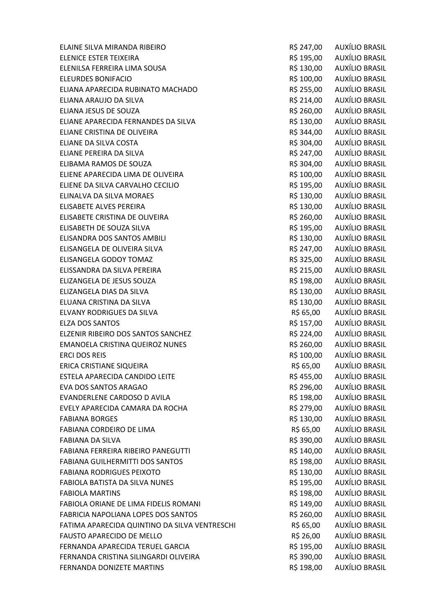ELAINE SILVA MIRANDA RIBEIRO R\$ 247,00 AUXÍLIO BRASIL ELENICE ESTER TEIXEIRA R\$ 195,00 AUXÍLIO BRASIL ELENILSA FERREIRA LIMA SOUSA and a series and a series of the series of the series and a series and a series and a series and a series and a series and a series and a series of the series and a series and a series and a se ELEURDES BONIFACIO R\$ 100,00 AUXÍLIO BRASIL ELIANA APARECIDA RUBINATO MACHADO R\$ 255,00 AUXÍLIO BRASIL ELIANA ARAUJO DA SILVA REDENIS EN LA REDENIS RELATIVO DA SILVA REDENIS REDENIS REDENIS RASIL ELIANA JESUS DE SOUZA R\$ 260,00 AUXÍLIO BRASIL ELIANE APARECIDA FERNANDES DA SILVA CONTRASSILO EN SILO AUXÍLIO BRASIL ELIANE CRISTINA DE OLIVEIRA CONTRA ELIANE DE SA ESTADO AUXÍLIO BRASIL ELIANE DA SILVA COSTA COSTE EN ELIANE DA SILVA COSTA ELIANE DA SILVA COSTA ELIANE DE RESISTENTE EN EL ENTRE EN ELIANE PEREIRA DA SILVA CONTRA EN ELIANE PEREIRA DA SILVA ELIBAMA RAMOS DE SOUZA DE SOUZA ELIBAMA RAMOS DE SOUZA ELIENE APARECIDA LIMA DE OLIVEIRA **RECIONALE EN ENGLIS EN 100,00 AUXÍLIO BRASIL** ELIENE DA SILVA CARVALHO CECILIO R\$ 195,00 AUXÍLIO BRASIL ELINALVA DA SILVA MORAES **ELINALVA DA SILVA MORAES R\$ 130,00** AUXÍLIO BRASIL ELISABETE ALVES PEREIRA R\$ 130,00 AUXÍLIO BRASIL ELISABETE CRISTINA DE OLIVEIRA CHE EN ENSEMBLE EN SEGO, O AUXÍLIO BRASIL ELISABETH DE SOUZA SILVA **REGISTAL EN ENGLIS EN SEGONO AUXÍLIO BRASIL** ELISANDRA DOS SANTOS AMBILI **Aux Elisandes de Santos Auxílio Brasil** ELISANGELA DE OLIVEIRA SILVA CONTRA EN EL ENTRAÑO DE AUXÍLIO BRASIL ELISANGELA GODOY TOMAZ R\$ 325,00 AUXÍLIO BRASIL ELISSANDRA DA SILVA PEREIRA R\$ 215,00 AUXÍLIO BRASIL ELIZANGELA DE JESUS SOUZA R\$ 198,00 AUXÍLIO BRASIL ELIZANGELA DIAS DA SILVA RÉTORES EN ENTREGADOS DE RESTAS DE RESTAS DE RESTAS DE RESTAS DE RESTAS DE RESTAS DE R ELUANA CRISTINA DA SILVA CHE EN ENSEGIO DE RESTA DO AUXÍLIO BRASIL ELVANY RODRIGUES DA SILVA CHE ELVANO DE RESISTO DE RESISTO DE AUXÍLIO BRASIL ELZA DOS SANTOS R\$ 157,00 AUXÍLIO BRASIL ELZENIR RIBEIRO DOS SANTOS SANCHEZ **R\$ 224,00** AUXÍLIO BRASIL EMANOELA CRISTINA QUEIROZ NUNES **R\$ 260,00** AUXÍLIO BRASIL ERCI DOS REIS GENERAL DE ENTRE EN ENGLACIÓN DE EN ENGLACIÓN DE ENTRE EN EL ENTRE EN EL ENTRE EN EL ENTRE EN EN ERICA CRISTIANE SIQUEIRA R\$ 65,00 AUXÍLIO BRASIL ESTELA APARECIDA CANDIDO LEITE **A ESTELA APARECIDA CANDIDO LEITE** A ESTELA APARECIDA CANDIDO LEITE EVA DOS SANTOS ARAGAO R\$ 296,00 AUXÍLIO BRASIL EVANDERLENE CARDOSO D AVILA **REGISTAL REGISTER EN AUXÍLIO BRASIL** EVELY APARECIDA CAMARA DA ROCHA R\$ 279,00 AUXÍLIO BRASIL FABIANA BORGES R\$ 130,00 AUXÍLIO BRASIL FABIANA CORDEIRO DE LIMA R\$ 65,00 AUXÍLIO BRASIL FABIANA DA SILVA GARA DA SILVA E A ESTE ENTREGIA E A ESTE EL ESTE EL ENTREGIA DE AUXÍLIO BRASIL FABIANA FERREIRA RIBEIRO PANEGUTTI CHE EN EL TERREIRA RIBEIRO PANEGUTTI CHE EN EL TERREIRA RIBEIRO PANEGUTTI FABIANA GUILHERMITTI DOS SANTOS **EXECUTADO EN SUA ENTRA EN 198,00 AUXÍLIO BRASIL** FABIANA RODRIGUES PEIXOTO CONTROL EN CONTROL DE SA 130,00 AUXÍLIO BRASIL FABIOLA BATISTA DA SILVA NUNES R\$ 195,00 AUXÍLIO BRASIL FABIOLA MARTINS R\$ 198,00 AUXÍLIO BRASIL FABIOLA ORIANE DE LIMA FIDELIS ROMANI R\$ 149,00 AUXÍLIO BRASIL FABRICIA NAPOLIANA LOPES DOS SANTOS **Example 2000 EN AUXÍLIO BRASIL** FATIMA APARECIDA QUINTINO DA SILVA VENTRESCHI R\$ 65,00 AUXÍLIO BRASIL FAUSTO APARECIDO DE MELLO R\$ 26,00 AUXÍLIO BRASIL FERNANDA APARECIDA TERUEL GARCIA **REGISTA EN SEGUIDA EN SEGUIDA DE ALIXÍLIO BRASIL** FERNANDA CRISTINA SILINGARDI OLIVEIRA RŠ 390.00 AUXÍLIO BRASIL FERNANDA DONIZETE MARTINS R\$ 198,00 AUXÍLIO BRASIL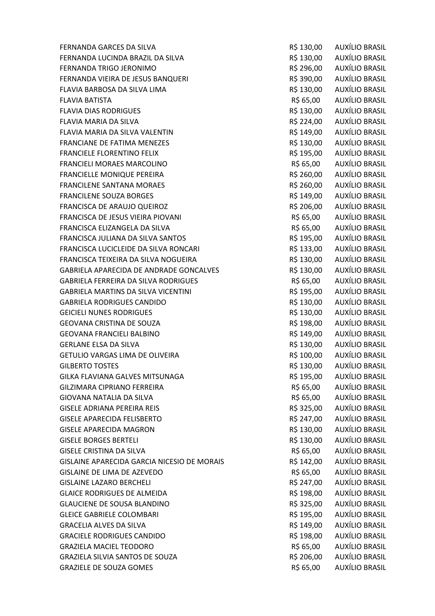FERNANDA GARCES DA SILVA CONTRA EN EL ENTREGO DE LA ESTADO DE AUXÍLIO BRASIL FERNANDA LUCINDA BRAZIL DA SILVA RS 130,00 AUXÍLIO BRASIL FERNANDA TRIGO JERONIMO **R\$ 296,00 AUXÍLIO BRASIL** FERNANDA VIEIRA DE JESUS BANQUERI CHERA EN EN EN ANGLIS POR AUXÍLIO BRASIL FLAVIA BARBOSA DA SILVA LIMA CONTROL EN ENTREGO DE REGIONO DE AUXÍLIO BRASIL FLAVIA BATISTA R\$ 65,00 AUXÍLIO BRASIL FLAVIA DIAS RODRIGUES **REDUCES EN EL ENTRE EN 130,00 AUXÍLIO BRASIL** FLAVIA MARIA DA SILVA CONTRA EN EL ENTREGADO EN EL ANTIFICIO DE EL ANTIFICADO EN AUXÍLIO BRASIL FLAVIA MARIA DA SILVA VALENTIN CHE EN ENTRE EN ENTRE EN ENGLACIA DE RESISTENTIA DE RESISTENTE EN ENTRE EN ENGL FRANCIANE DE FATIMA MENEZES **EXECUTADO EN SUBJECTES EN 130,00** AUXÍLIO BRASIL FRANCIELE FLORENTINO FELIX BELIX R\$ 195,00 AUXÍLIO BRASIL FRANCIELI MORAES MARCOLINO R\$ 65,00 AUXÍLIO BRASIL FRANCIELLE MONIQUE PEREIRA R\$ 260,00 AUXÍLIO BRASIL FRANCILENE SANTANA MORAES **Example 2018 12:30 RS** 260,00 AUXÍLIO BRASIL FRANCILENE SOUZA BORGES R\$ 149,00 AUXÍLIO BRASIL FRANCISCA DE ARAUJO QUEIROZ R\$ 206,00 AUXÍLIO BRASIL FRANCISCA DE JESUS VIEIRA PIOVANI R\$ 65,00 AUXÍLIO BRASIL FRANCISCA ELIZANGELA DA SILVA R\$ 65,00 AUXÍLIO BRASIL FRANCISCA JULIANA DA SILVA SANTOS R\$ 195,00 AUXÍLIO BRASIL FRANCISCA LUCICLEIDE DA SILVA RONCARI **RESISTA E A ESSE A ESSE A EL SEGUNDE DE A**UXÍLIO BRASIL FRANCISCA TEIXEIRA DA SILVA NOGUEIRA **R\$ 130,00** AUXÍLIO BRASIL GABRIELA APARECIDA DE ANDRADE GONCALVES FORDER AND RS 130,00 AUXÍLIO BRASIL GABRIELA FERREIRA DA SILVA RODRIGUES CONTENTINA EN SEGIO AUXÍLIO BRASIL GABRIELA MARTINS DA SILVA VICENTINI GABRITA EN RESIDO AUXÍLIO BRASIL GABRIELA RODRIGUES CANDIDO **EN ENGLIS EN ENGLIS DE SEGUIDO EN ENGLIS DE SEGUIDO EN ENGLIS DE SEGUIDO EN ENGLIS DE SEGUIDO EN ENGLIS DE SEGUIDO EN ENGLIS DE SEGUIDO EN ENGLIS DE SEGUIDO EN ENGLIS DE SEGUIDO EN ENGLIS DE SEG** GEICIELI NUNES RODRIGUES **AUXÍLIO BRASIL** BRASIL GEOVANA CRISTINA DE SOUZA CONSTRUITS EN LA CONSTRUITS DE SOUZA GEOVANA FRANCIELI BALBINO **REDUCE EN EL ENTRE EN EL ENTRE EL EL ENTRE EL EL ENTRE EL EL EL EL EL EL EL EL EL E** GERLANE ELSA DA SILVA DE ELSA DE ELSA DE ELSA DE ELSA DE ELSA DE ELSA DE ELSA DE ELSA DE ELSA DE ELSA DE ELSA GETULIO VARGAS LIMA DE OLIVEIRA **RESILIO EN ENGLIS EN SEGUIDE DE LA CONSTITU**NTO DE AUXÍLIO BRASIL GILBERTO TOSTES **GILBERTO TOSTES R\$ 130,00 AUXÍLIO BRASIL** GILKA FLAVIANA GALVES MITSUNAGA KALOTA R\$ 195,00 AUXÍLIO BRASIL GILZIMARA CIPRIANO FERREIRA **R\$ 65,00 AUXÍLIO BRASIL** GIOVANA NATALIA DA SILVA R\$ 65,00 AUXÍLIO BRASIL GISELE ADRIANA PEREIRA REIS R\$ 325,00 AUXÍLIO BRASIL GISELE APARECIDA FELISBERTO **REGIONALE EN EL ENTREGADO EN EL EL ENTREGIO EN EL EL EL EL EL EL EL EL EL EL EL E** GISELE APARECIDA MAGRON **REGISTER AND AUXÍLIO BRASIL** GISELE BORGES BERTELI CHE ELECTRONIC RESISTENCIA RESISTENCIA AUXÍLIO BRASIL GISELE CRISTINA DA SILVA CONTRASSEDENTE EN CONTRASSO DE R\$ 65,000 AUXÍLIO BRASIL GISLAINE APARECIDA GARCIA NICESIO DE MORAIS **R\$ 142,00** AUXÍLIO BRASIL GISLAINE DE LIMA DE AZEVEDO **E EN ENCOLO EN EL ENCOLO EN EL ENGLIS DE LIGO EN EL ENGLIS DE LIGO EN EL ENGLIS DE** GISLAINE LAZARO BERCHELI **Australia et al. 1990. ES 247,00 AUXÍLIO BRASIL** GLAICE RODRIGUES DE ALMEIDA **EN ENCOLOGO EN EL ENCOLOGO EN EL ACADECIA EN EL EL ENTENTE EN EL EL EL EL EL EL E** GLAUCIENE DE SOUSA BLANDINO CONTROL DE SOUSA BLANDINO CONTROL DE SOUS AUXÍLIO BRASIL GLEICE GABRIELE COLOMBARI **ERIT E EN ENCOLOMBARI E EN ENGLIS E EN ENGLIS E EN ENGLIS E EN ENGLIS E EN ENGLIS E** GRACELIA ALVES DA SILVA CONTROL EN ENTREGADO EN ENTRE EN EL ANTIGO DE AUXÍLIO BRASIL GRACIELE RODRIGUES CANDIDO **Example 198,00 AUXÍLIO BRASIL** GRAZIELA MACIEL TEODORO **REGIONALE EN EL ENTRE EN EL ENTRE EL ENTRE EL ENTRE EL ENTRE EL ENTRE EL ENTRE EL ENTRE EL ENTRE EL ENTRE EL ENTRE EL ENTRE EL ENTRE EL ENTRE EL ENTRE EL ENTRE EL ENTRE EL ENTRE EL ENTRE EL ENTRE E** GRAZIELA SILVIA SANTOS DE SOUZA EN ENTRE EN ENGLACIA EN ENGLACIA EN ENGLACIA EN EN ENGLACIA EN EN ENGLACIA EN GRAZIELE DE SOUZA GOMES COMES EN ENSIGATION DE RÉSISSON DE AUXÍLIO BRASIL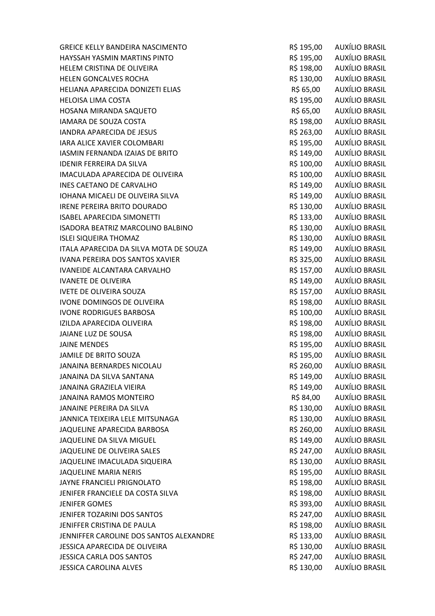GREICE KELLY BANDEIRA NASCIMENTO **RESISTENTIA EN 195,00 AUXÍLIO BRASIL** HAYSSAH YASMIN MARTINS PINTO R\$ 195,00 AUXÍLIO BRASIL HELEM CRISTINA DE OLIVEIRA **RECONSTINA DE OLIVEIRA** E ESTE ENTENDE EN ENTENDE EN EL ESTE EN ENFIETA DE EN ENFIE HELEN GONCALVES ROCHA **R\$ 130,00 AUXÍLIO BRASIL** HELIANA APARECIDA DONIZETI ELIAS R\$ 65,00 AUXÍLIO BRASIL HELOISA LIMA COSTA R\$ 195,00 AUXÍLIO BRASIL HOSANA MIRANDA SAQUETO R\$ 65,00 AUXÍLIO BRASIL IAMARA DE SOUZA COSTA DE RESIDENTE EN ENGLACIA EN ENTRE A RESIDENTADA EN EL ANTIGO AUXÍLIO BRASIL IANDRA APARECIDA DE JESUS **Entranto de Santo Estado de São AUXÍLIO BRASIL** IARA ALICE XAVIER COLOMBARI **R\$ 195,00** AUXÍLIO BRASIL IASMIN FERNANDA IZAIAS DE BRITO R\$ 149,00 AUXÍLIO BRASIL IDENIR FERREIRA DA SILVA R\$ 100,00 AUXÍLIO BRASIL IMACULADA APARECIDA DE OLIVEIRA RESIDO DO AUXÍLIO BRASIL INES CAETANO DE CARVALHO **E EN ENGLUE EN ENGLUE EN ENGLUE EN ENGLUE EN ENGLUE EN ENGLUE EN ENGLUE EN ENGLUE EN E** IOHANA MICAELI DE OLIVEIRA SILVA CONTRASSIONES EN ENTRAÎTO AUXÍLIO BRASIL IRENE PEREIRA BRITO DOURADO **RESISTENTE EN 180.00 AUXÍLIO BRASIL** ISABEL APARECIDA SIMONETTI UN ESTADO EN ENSIGADO AUXÍLIO BRASIL ISADORA BEATRIZ MARCOLINO BALBINO **REALISTA E AUXÍLIO BRASIL** ISLEI SIQUEIRA THOMAZ R\$ 130,00 AUXÍLIO BRASIL ITALA APARECIDA DA SILVA MOTA DE SOUZA  $R\$  149,00 AUXÍLIO BRASIL IVANA PEREIRA DOS SANTOS XAVIER R\$ 325,00 AUXÍLIO BRASIL IVANEIDE ALCANTARA CARVALHO **REGIONAL EN SEGONO ALCANTARA CARVALHO** R\$ 157,00 AUXÍLIO BRASIL IVANETE DE OLIVEIRA **R\$ 149,00 AUXÍLIO BRASIL** IVETE DE OLIVEIRA SOUZA DE EN ENSEMBOLIO EN ENSEMBOLIO EN ENSEMBLE DE LA CONSTANTIACIÓN DE ENSEMBLE DE LA CONST IVONE DOMINGOS DE OLIVEIRA **EN ENCOLO EN ENGLIS EN ENGLIS EN ENGLIS EN ENGLIS EN ENGLIS EN ENGLIS EN ENGLIS EN E** IVONE RODRIGUES BARBOSA **R\$ 100,00** AUXÍLIO BRASIL IZILDA APARECIDA OLIVEIRA **R\$ 198,00 AUXÍLIO BRASIL** JAIANE LUZ DE SOUSA R\$ 198,00 AUXÍLIO BRASIL JAINE MENDES R\$ 195,00 AUXÍLIO BRASIL JAMILE DE BRITO SOUZA **R\$ 195,00 AUXÍLIO BRASIL** JANAINA BERNARDES NICOLAU **REGISTA EN 1999 EN 1999 EN 1999 EN 1999** RS 260,00 AUXÍLIO BRASIL JANAINA DA SILVA SANTANA DA SANTANA RÉSILO BRASIL JANAINA GRAZIELA VIEIRA RŠ 149,00 AUXÍLIO BRASIL JANAINA RAMOS MONTEIRO R\$ 84,00 AUXÍLIO BRASIL JANAINE PEREIRA DA SILVA CHE DA SANTO DE CONSTITUIU EN 130,00 AUXÍLIO BRASIL JANNICA TEIXEIRA LELE MITSUNAGA **R\$ 130,00** AUXÍLIO BRASIL JAQUELINE APARECIDA BARBOSA **REGIONALE E A CONSTANTA E A CONSTANTE A CONSTANTING A CONSTANT AND A CONSTANT O BRASIL** JAQUELINE DA SILVA MIGUEL **Australia Estabana e a Constantino de Santo Australia e Australia e Australia e Austra** JAQUELINE DE OLIVEIRA SALES **EN ENCOLO EN EL SEU ENTRE EN EL SEGUNDO EN EL SEGUNDO EN EL SEGUNDO EN EL SEGUNDO EN** JAQUELINE IMACULADA SIQUEIRA R\$ 130,00 AUXÍLIO BRASIL JAQUELINE MARIA NERIS R\$ 195,00 AUXÍLIO BRASIL JAYNE FRANCIELI PRIGNOLATO R\$ 198,00 AUXÍLIO BRASIL JENIFER FRANCIELE DA COSTA SILVA RESERVEDENTE EN SUR ENSIGADO AUXÍLIO BRASIL JENIFER GOMES R\$ 393,00 AUXÍLIO BRASIL JENIFER TOZARINI DOS SANTOS **REGIONALISTA E AUXÍLIO BRASIL** JENIFFER CRISTINA DE PAULA R\$ 198,00 AUXÍLIO BRASIL JENNIFFER CAROLINE DOS SANTOS ALEXANDRE FOR THE R\$ 133,00 AUXÍLIO BRASIL JESSICA APARECIDA DE OLIVEIRA CONTRA RESIDIO DE OLIVEIRA RESIDIO DE RESIDIO DE AUXÍLIO BRASIL JESSICA CARLA DOS SANTOS R\$ 247,00 AUXÍLIO BRASIL JESSICA CAROLINA ALVES R\$ 130,00 AUXÍLIO BRASIL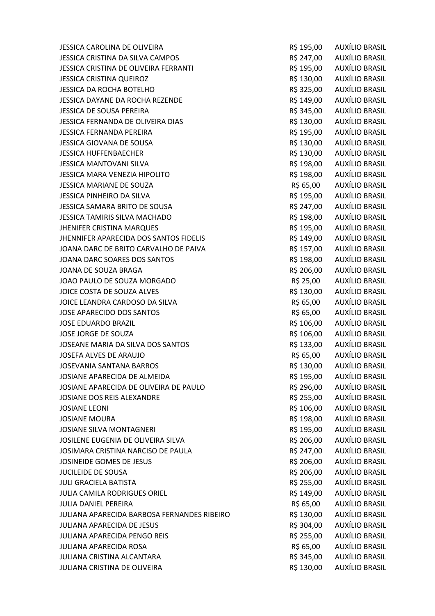JESSICA CAROLINA DE OLIVEIRA R\$ 195,00 AUXÍLIO BRASIL JESSICA CRISTINA DA SILVA CAMPOS R\$ 247,00 AUXÍLIO BRASIL JESSICA CRISTINA DE OLIVEIRA FERRANTI R\$ 195,00 AUXÍLIO BRASIL JESSICA CRISTINA QUEIROZ R\$ 130,00 AUXÍLIO BRASIL JESSICA DA ROCHA BOTELHO R\$ 325,00 AUXÍLIO BRASIL JESSICA DAYANE DA ROCHA REZENDE **A COMBINALIST E SECONDE RELATIVITY DE RE**SILADO AUXÍLIO BRASIL JESSICA DE SOUSA PEREIRA R\$ 345,00 AUXÍLIO BRASIL JESSICA FERNANDA DE OLIVEIRA DIAS **R\$ 130,00** AUXÍLIO BRASIL JESSICA FERNANDA PEREIRA R\$ 195,00 AUXÍLIO BRASIL JESSICA GIOVANA DE SOUSA CONSTRUITO EN EL ENTREGIO DE RESISTENTE EN ENTREGIA EL ENTREGIA DE SOUSA JESSICA HUFFENBAECHER **R\$ 130,00 AUXÍLIO BRASIL** JESSICA MANTOVANI SILVA RŠ 198,00 AUXÍLIO BRASIL JESSICA MARA VENEZIA HIPOLITO **REDUCES E AUXÍLIO BRASIL** RS 198,00 AUXÍLIO BRASIL JESSICA MARIANE DE SOUZA R\$ 65,00 AUXÍLIO BRASIL JESSICA PINHEIRO DA SILVA CONTRA EN ENTREGADO EN RESTADO AUXÍLIO BRASIL JESSICA SAMARA BRITO DE SOUSA CONSENTE EN ENSEMBLE EN SEGREGO AUXÍLIO BRASIL JESSICA TAMIRIS SILVA MACHADO **RESICA TAMIRIS SILVA MACHADO** R\$ 198,00 AUXÍLIO BRASIL JHENIFER CRISTINA MARQUES **AUXÍLIO BRASIL** R\$ 195,00 AUXÍLIO BRASIL JHENNIFER APARECIDA DOS SANTOS FIDELIS FINALES R\$ 149,00 AUXÍLIO BRASIL JOANA DARC DE BRITO CARVALHO DE PAIVA CONSTRUITION RES 157,00 AUXÍLIO BRASIL JOANA DARC SOARES DOS SANTOS **Extra 198,00 AUXÍLIO BRASIL** JOANA DE SOUZA BRAGA REGONAL EN ENGLANDO EN SOLO AUXÍLIO BRASIL JOAO PAULO DE SOUZA MORGADO **RESISTEM EN 1999, PORTO AUXÍLIO BRASIL** JOICE COSTA DE SOUZA ALVES **External and SOUZA ALVES R\$ 130,00** AUXÍLIO BRASIL JOICE LEANDRA CARDOSO DA SILVA R\$ 65,00 AUXÍLIO BRASIL JOSE APARECIDO DOS SANTOS **External antigato de Santo Auxílio Brasil**a de Santo Auxílio Brasil JOSE EDUARDO BRAZIL **AUXÍLIO BRASIL** DE ESTA ENTREGADO EN AREA EN ENTREGADO EN AUXÍLIO BRASIL JOSE JORGE DE SOUZA ANN EN EN EN ENGLIS DE SOUZA EN EN ENGLIS DE RES 106,00 AUXÍLIO BRASIL JOSEANE MARIA DA SILVA DOS SANTOS **AUXÍLIO BRASIL** R\$ 133,00 AUXÍLIO BRASIL JOSEFA ALVES DE ARAUJO R\$ 65,00 AUXÍLIO BRASIL JOSEVANIA SANTANA BARROS **R\$ 130,00 AUXÍLIO BRASIL** JOSIANE APARECIDA DE ALMEIDA **AUXÍLIO E ALMEIDA** R\$ 195,00 AUXÍLIO BRASIL JOSIANE APARECIDA DE OLIVEIRA DE PAULO R\$ 296,00 AUXÍLIO BRASIL JOSIANE DOS REIS ALEXANDRE **Aux Elizabeth Contract Contract Contract Contract Contract Contract Contract Contract Contract Contract Contract Contract Contract Contract Contract Contract Contract Contract Contract Contract** JOSIANE LEONI R\$ 106,00 AUXÍLIO BRASIL JOSIANE MOURA R\$ 198,00 AUXÍLIO BRASIL JOSIANE SILVA MONTAGNERI R\$ 195,00 AUXÍLIO BRASIL JOSILENE EUGENIA DE OLIVEIRA SILVA CONTRA RESIDENTE EUGENIA DE OLIVEIRA SILVA JOSIMARA CRISTINA NARCISO DE PAULA **Aux Elias en São Auxílio Brasil**a de São Pauxílio Brasil JOSINEIDE GOMES DE JESUS R\$ 206,00 AUXÍLIO BRASIL JUCILEIDE DE SOUSA R\$ 206,00 AUXÍLIO BRASIL JULI GRACIELA BATISTA CHE ANNO 1999 AUXÍLIO BRASIL JULIA CAMILA RODRIGUES ORIEL **Aux Elias and Service Contracts Contracts** R\$ 149,00 AUXÍLIO BRASIL JULIA DANIEL PEREIRA R\$ 65,00 AUXÍLIO BRASIL JULIANA APARECIDA BARBOSA FERNANDES RIBEIRO RS 130,00 AUXÍLIO BRASIL JULIANA APARECIDA DE JESUS R\$ 304,00 AUXÍLIO BRASIL JULIANA APARECIDA PENGO REIS **REIS EN ENGLISHED EN SE EN ENGLISHED AUXÍLIO BRASIL** JULIANA APARECIDA ROSA R\$ 65,00 AUXÍLIO BRASIL JULIANA CRISTINA ALCANTARA RÚSILO EN EL ENTREGIO DE RESISTO AUXÍLIO BRASIL JULIANA CRISTINA DE OLIVEIRA CONTRANTE EN ENTRE EN ENSIDO DE AUXÍLIO BRASIL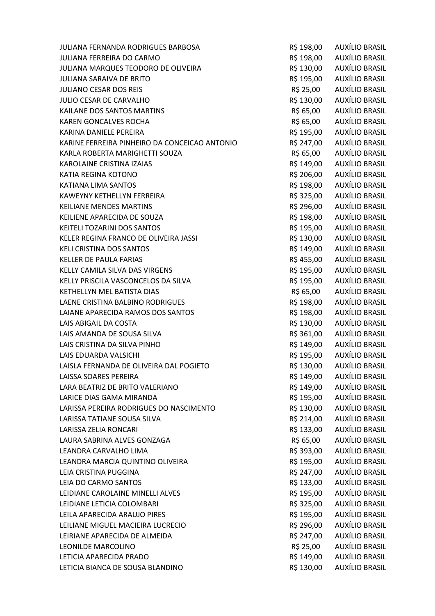| JULIANA FERNANDA RODRIGUES BARBOSA            | R\$ 198,00 | AUXÍLIO BRASIL        |
|-----------------------------------------------|------------|-----------------------|
| <b>JULIANA FERREIRA DO CARMO</b>              | R\$ 198,00 | AUXÍLIO BRASIL        |
| JULIANA MARQUES TEODORO DE OLIVEIRA           | R\$ 130,00 | AUXÍLIO BRASIL        |
| <b>JULIANA SARAIVA DE BRITO</b>               | R\$ 195,00 | <b>AUXÍLIO BRASIL</b> |
| <b>JULIANO CESAR DOS REIS</b>                 | R\$ 25,00  | <b>AUXÍLIO BRASIL</b> |
| JULIO CESAR DE CARVALHO                       | R\$ 130,00 | AUXÍLIO BRASIL        |
| KAILANE DOS SANTOS MARTINS                    | R\$ 65,00  | <b>AUXÍLIO BRASIL</b> |
| <b>KAREN GONCALVES ROCHA</b>                  | R\$ 65,00  | AUXÍLIO BRASIL        |
| KARINA DANIELE PEREIRA                        | R\$ 195,00 | AUXÍLIO BRASIL        |
| KARINE FERREIRA PINHEIRO DA CONCEICAO ANTONIO | R\$ 247,00 | AUXÍLIO BRASIL        |
| KARLA ROBERTA MARIGHETTI SOUZA                | R\$ 65,00  | <b>AUXÍLIO BRASIL</b> |
| KAROLAINE CRISTINA IZAIAS                     | R\$ 149,00 | AUXÍLIO BRASIL        |
| KATIA REGINA KOTONO                           | R\$ 206,00 | AUXÍLIO BRASIL        |
| KATIANA LIMA SANTOS                           | R\$ 198,00 | AUXÍLIO BRASIL        |
| KAWEYNY KETHELLYN FERREIRA                    | R\$ 325,00 | AUXÍLIO BRASIL        |
| <b>KEILIANE MENDES MARTINS</b>                | R\$ 296,00 | <b>AUXÍLIO BRASIL</b> |
| KEILIENE APARECIDA DE SOUZA                   | R\$ 198,00 | <b>AUXÍLIO BRASIL</b> |
| KEITELI TOZARINI DOS SANTOS                   | R\$ 195,00 | <b>AUXÍLIO BRASIL</b> |
| KELER REGINA FRANCO DE OLIVEIRA JASSI         | R\$ 130,00 | <b>AUXÍLIO BRASIL</b> |
| <b>KELI CRISTINA DOS SANTOS</b>               | R\$ 149,00 | AUXÍLIO BRASIL        |
| <b>KELLER DE PAULA FARIAS</b>                 | R\$ 455,00 | AUXÍLIO BRASIL        |
| KELLY CAMILA SILVA DAS VIRGENS                | R\$ 195,00 | AUXÍLIO BRASIL        |
| KELLY PRISCILA VASCONCELOS DA SILVA           | R\$ 195,00 | <b>AUXÍLIO BRASIL</b> |
| KETHELLYN MEL BATISTA DIAS                    | R\$ 65,00  | AUXÍLIO BRASIL        |
| LAENE CRISTINA BALBINO RODRIGUES              | R\$ 198,00 | AUXÍLIO BRASIL        |
| LAIANE APARECIDA RAMOS DOS SANTOS             | R\$ 198,00 | <b>AUXÍLIO BRASIL</b> |
| LAIS ABIGAIL DA COSTA                         | R\$ 130,00 | AUXÍLIO BRASIL        |
| LAIS AMANDA DE SOUSA SILVA                    | R\$ 361,00 | AUXÍLIO BRASIL        |
| LAIS CRISTINA DA SILVA PINHO                  | R\$ 149,00 | AUXÍLIO BRASIL        |
| LAIS EDUARDA VALSICHI                         | R\$ 195,00 | <b>AUXÍLIO BRASIL</b> |
| LAISLA FERNANDA DE OLIVEIRA DAL POGIETO       | R\$ 130,00 | <b>AUXÍLIO BRASIL</b> |
| LAISSA SOARES PEREIRA                         | R\$ 149,00 | <b>AUXÍLIO BRASIL</b> |
| LARA BEATRIZ DE BRITO VALERIANO               | R\$ 149,00 | <b>AUXÍLIO BRASIL</b> |
| LARICE DIAS GAMA MIRANDA                      | R\$ 195,00 | AUXÍLIO BRASIL        |
| LARISSA PEREIRA RODRIGUES DO NASCIMENTO       | R\$ 130,00 | <b>AUXÍLIO BRASIL</b> |
| LARISSA TATIANE SOUSA SILVA                   | R\$ 214,00 | <b>AUXÍLIO BRASIL</b> |
| LARISSA ZELIA RONCARI                         | R\$ 133,00 | <b>AUXÍLIO BRASIL</b> |
| LAURA SABRINA ALVES GONZAGA                   | R\$ 65,00  | <b>AUXÍLIO BRASIL</b> |
| LEANDRA CARVALHO LIMA                         | R\$ 393,00 | AUXÍLIO BRASIL        |
| LEANDRA MARCIA QUINTINO OLIVEIRA              | R\$ 195,00 | <b>AUXÍLIO BRASIL</b> |
| LEIA CRISTINA PUGGINA                         | R\$ 247,00 | <b>AUXÍLIO BRASIL</b> |
| LEIA DO CARMO SANTOS                          | R\$ 133,00 | <b>AUXÍLIO BRASIL</b> |
| LEIDIANE CAROLAINE MINELLI ALVES              | R\$ 195,00 | AUXÍLIO BRASIL        |
| LEIDIANE LETICIA COLOMBARI                    | R\$ 325,00 | <b>AUXÍLIO BRASIL</b> |
| LEILA APARECIDA ARAUJO PIRES                  | R\$ 195,00 | <b>AUXÍLIO BRASIL</b> |
| LEILIANE MIGUEL MACIEIRA LUCRECIO             | R\$ 296,00 | <b>AUXÍLIO BRASIL</b> |
| LEIRIANE APARECIDA DE ALMEIDA                 | R\$ 247,00 | AUXÍLIO BRASIL        |
| LEONILDE MARCOLINO                            | R\$ 25,00  | AUXÍLIO BRASIL        |
| LETICIA APARECIDA PRADO                       | R\$ 149,00 | <b>AUXÍLIO BRASIL</b> |
| LETICIA BIANCA DE SOUSA BLANDINO              | R\$ 130,00 | <b>AUXÍLIO BRASIL</b> |
|                                               |            |                       |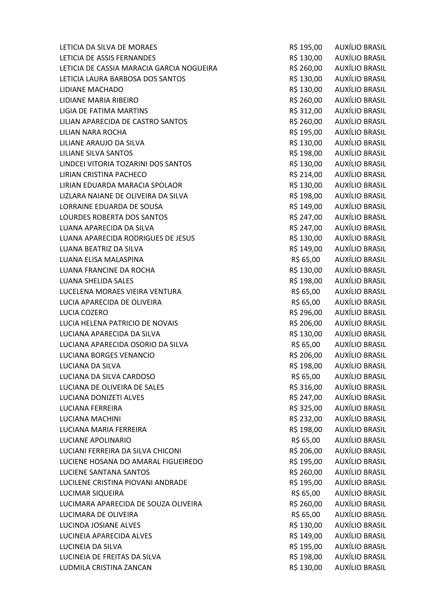| LETICIA DA SILVA DE MORAES                | R\$ 195,00 | <b>AUXÍLIO BRASIL</b> |
|-------------------------------------------|------------|-----------------------|
| LETICIA DE ASSIS FERNANDES                | R\$ 130,00 | AUXÍLIO BRASIL        |
| LETICIA DE CASSIA MARACIA GARCIA NOGUEIRA | R\$ 260,00 | AUXÍLIO BRASIL        |
| LETICIA LAURA BARBOSA DOS SANTOS          | R\$ 130,00 | <b>AUXÍLIO BRASIL</b> |
| LIDIANE MACHADO                           | R\$ 130,00 | AUXÍLIO BRASIL        |
| LIDIANE MARIA RIBEIRO                     | R\$ 260,00 | AUXÍLIO BRASIL        |
| <b>LIGIA DE FATIMA MARTINS</b>            | R\$ 312,00 | <b>AUXÍLIO BRASIL</b> |
| LILIAN APARECIDA DE CASTRO SANTOS         | R\$ 260,00 | <b>AUXÍLIO BRASIL</b> |
| LILIAN NARA ROCHA                         | R\$ 195,00 | AUXÍLIO BRASIL        |
| LILIANE ARAUJO DA SILVA                   | R\$ 130,00 | AUXÍLIO BRASIL        |
| LILIANE SILVA SANTOS                      | R\$ 198,00 | <b>AUXÍLIO BRASIL</b> |
| LINDCEI VITORIA TOZARINI DOS SANTOS       | R\$ 130,00 | <b>AUXÍLIO BRASIL</b> |
| LIRIAN CRISTINA PACHECO                   | R\$ 214,00 | AUXÍLIO BRASIL        |
| LIRIAN EDUARDA MARACIA SPOLAOR            | R\$ 130,00 | <b>AUXÍLIO BRASIL</b> |
| LIZLARA NAIANE DE OLIVEIRA DA SILVA       | R\$ 198,00 | <b>AUXÍLIO BRASIL</b> |
| LORRAINE EDUARDA DE SOUSA                 | R\$ 149,00 | <b>AUXÍLIO BRASIL</b> |
| LOURDES ROBERTA DOS SANTOS                | R\$ 247,00 | AUXÍLIO BRASIL        |
| LUANA APARECIDA DA SILVA                  | R\$ 247,00 | <b>AUXÍLIO BRASIL</b> |
| LUANA APARECIDA RODRIGUES DE JESUS        | R\$ 130,00 | <b>AUXÍLIO BRASIL</b> |
| LUANA BEATRIZ DA SILVA                    | R\$ 149,00 | <b>AUXÍLIO BRASIL</b> |
| LUANA ELISA MALASPINA                     | R\$ 65,00  | AUXÍLIO BRASIL        |
| LUANA FRANCINE DA ROCHA                   | R\$ 130,00 | AUXÍLIO BRASIL        |
| <b>LUANA SHELIDA SALES</b>                | R\$ 198,00 | <b>AUXÍLIO BRASIL</b> |
| LUCELENA MORAES VIEIRA VENTURA            | R\$ 65,00  | AUXÍLIO BRASIL        |
| LUCIA APARECIDA DE OLIVEIRA               | R\$ 65,00  | AUXÍLIO BRASIL        |
| LUCIA COZERO                              | R\$ 296,00 | <b>AUXÍLIO BRASIL</b> |
| LUCIA HELENA PATRICIO DE NOVAIS           | R\$ 206,00 | <b>AUXÍLIO BRASIL</b> |
| LUCIANA APARECIDA DA SILVA                | R\$ 130,00 | <b>AUXÍLIO BRASIL</b> |
| LUCIANA APARECIDA OSORIO DA SILVA         | R\$ 65,00  | <b>AUXÍLIO BRASIL</b> |
| LUCIANA BORGES VENANCIO                   | R\$ 206,00 | <b>AUXÍLIO BRASIL</b> |
| LUCIANA DA SILVA                          | R\$ 198,00 | <b>AUXÍLIO BRASIL</b> |
| LUCIANA DA SILVA CARDOSO                  | R\$ 65,00  | <b>AUXÍLIO BRASIL</b> |
| LUCIANA DE OLIVEIRA DE SALES              | R\$ 316,00 | <b>AUXÍLIO BRASIL</b> |
| LUCIANA DONIZETI ALVES                    | R\$ 247,00 | AUXÍLIO BRASIL        |
| <b>LUCIANA FERREIRA</b>                   | R\$ 325,00 | <b>AUXÍLIO BRASIL</b> |
| LUCIANA MACHINI                           | R\$ 232,00 | <b>AUXÍLIO BRASIL</b> |
| LUCIANA MARIA FERREIRA                    | R\$ 198,00 | AUXÍLIO BRASIL        |
| LUCIANE APOLINARIO                        | R\$ 65,00  | <b>AUXÍLIO BRASIL</b> |
| LUCIANI FERREIRA DA SILVA CHICONI         | R\$ 206,00 | <b>AUXÍLIO BRASIL</b> |
| LUCIENE HOSANA DO AMARAL FIGUEIREDO       | R\$ 195,00 | AUXÍLIO BRASIL        |
| <b>LUCIENE SANTANA SANTOS</b>             | R\$ 260,00 | <b>AUXÍLIO BRASIL</b> |
| LUCILENE CRISTINA PIOVANI ANDRADE         | R\$ 195,00 | <b>AUXÍLIO BRASIL</b> |
| LUCIMAR SIQUEIRA                          | R\$ 65,00  | AUXÍLIO BRASIL        |
| LUCIMARA APARECIDA DE SOUZA OLIVEIRA      | R\$ 260,00 | AUXÍLIO BRASIL        |
| LUCIMARA DE OLIVEIRA                      | R\$ 65,00  | <b>AUXÍLIO BRASIL</b> |
| LUCINDA JOSIANE ALVES                     | R\$ 130,00 | <b>AUXÍLIO BRASIL</b> |
| LUCINEIA APARECIDA ALVES                  | R\$ 149,00 | AUXÍLIO BRASIL        |
| LUCINEIA DA SILVA                         | R\$ 195,00 | AUXÍLIO BRASIL        |
| LUCINEIA DE FREITAS DA SILVA              | R\$ 198,00 | <b>AUXÍLIO BRASIL</b> |
| LUDMILA CRISTINA ZANCAN                   | R\$ 130,00 | AUXÍLIO BRASIL        |
|                                           |            |                       |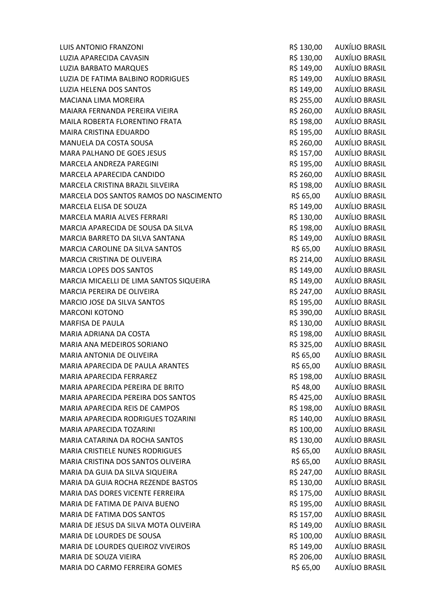LUIS ANTONIO FRANZONI R\$ 130,00 AUXÍLIO BRASIL LUZIA APARECIDA CAVASIN R\$ 130,00 AUXÍLIO BRASIL LUZIA BARBATO MARQUES **External and SECOND RASS AUXÍLIO BRASIL** LUZIA DE FATIMA BALBINO RODRIGUES **AUXÍLIO EN ENTERNADO EN AUXÍLIO BRASIL** LUZIA HELENA DOS SANTOS R\$ 149,00 AUXÍLIO BRASIL MACIANA LIMA MOREIRA **R\$ 255,00 AUXÍLIO BRASIL** MAIARA FERNANDA PEREIRA VIEIRA RESIDENTI EN RESIDO AUXÍLIO BRASIL MAILA ROBERTA FLORENTINO FRATA **REGISTAL EN EL SEGUNDO DE EL SEGUNDO DE EL SEGUNDO DE EL SEGUNDO DE EL SEGUNDO DE** MAIRA CRISTINA EDUARDO **R\$ 195,00 AUXÍLIO BRASIL** MANUELA DA COSTA SOUSA R\$ 260,00 AUXÍLIO BRASIL MARA PALHANO DE GOES JESUS R\$ 157,00 AUXÍLIO BRASIL MARCELA ANDREZA PAREGINI **REGIONALE E EN ENGLIS E EN ENGLIS E EN ENGLIS E EN ENGLIS E EN ENGLIS E EN ENGLIS E E** MARCELA APARECIDA CANDIDO R\$ 260,00 AUXÍLIO BRASIL MARCELA CRISTINA BRAZIL SILVEIRA RS 198,00 AUXÍLIO BRASIL MARCELA DOS SANTOS RAMOS DO NASCIMENTO R\$ 65,00 AUXÍLIO BRASIL MARCELA ELISA DE SOUZA R\$ 149,00 AUXÍLIO BRASIL MARCELA MARIA ALVES FERRARI **RESISTEM EN 1999, POSTAGO AUXÍLIO BRASIL** MARCIA APARECIDA DE SOUSA DA SILVA **RECISIONALE E A SA ESCULTA E A SA ESCULTA E A E** MARCIA BARRETO DA SILVA SANTANA RESIDENTE EN RESIDO AUXÍLIO BRASIL MARCIA CAROLINE DA SILVA SANTOS **External a SANTOS** R\$ 65,00 AUXÍLIO BRASIL MARCIA CRISTINA DE OLIVEIRA CONSTRUITO EN EL ENTREGADO DE AUXÍLIO BRASIL MARCIA LOPES DOS SANTOS R\$ 149,00 AUXÍLIO BRASIL MARCIA MICAELLI DE LIMA SANTOS SIQUEIRA R\$ 149,00 AUXÍLIO BRASIL MARCIA PEREIRA DE OLIVEIRA DE EN ENSEMBRO EN ENSEMBRO DE R\$ 247,00 AUXÍLIO BRASIL MARCIO JOSE DA SILVA SANTOS **External alguns entrarror en el partidio de la contrarc**io de la partidio de la contr MARCONI KOTONO AUXÍLIO BRASIL MARFISA DE PAULA **R\$ 130,00 AUXÍLIO BRASIL** MARIA ADRIANA DA COSTA R\$ 198,00 AUXÍLIO BRASIL MARIA ANA MEDEIROS SORIANO **REGIONAL EN SEGUNDO EN SA EL ENTREGADO EN SEGUNDO EN SEGUNDO EN SEGUNDO EN SEGUNDO EN** MARIA ANTONIA DE OLIVEIRA R\$ 65,00 AUXÍLIO BRASIL MARIA APARECIDA DE PAULA ARANTES **EN ENCOLO EN EL SEU AUXÍLIO BRASIL** MARIA APARECIDA FERRAREZ R\$ 198,00 AUXÍLIO BRASIL MARIA APARECIDA PEREIRA DE BRITO R\$ 48,00 AUXÍLIO BRASIL MARIA APARECIDA PEREIRA DOS SANTOS **ENTIMADA EN SEGUIDA EN SANTOS EN SULTA EN SANTOS** RS 425,00 AUXÍLIO BRASIL MARIA APARECIDA REIS DE CAMPOS R\$ 198,00 AUXÍLIO BRASIL MARIA APARECIDA RODRIGUES TOZARINI CHE EN EN EN EN EN EN ARSIL A AUXÍLIO BRASIL MARIA APARECIDA TOZARINI MARIA APARECIDA TOZARINI MARIA RS 100,00 AUXÍLIO BRASIL MARIA CATARINA DA ROCHA SANTOS R\$ 130,00 AUXÍLIO BRASIL MARIA CRISTIELE NUNES RODRIGUES **R\$ 65,00** AUXÍLIO BRASIL MARIA CRISTINA DOS SANTOS OLIVEIRA R\$ 65,00 AUXÍLIO BRASIL MARIA DA GUIA DA SILVA SIQUEIRA REPORTEDA EN ENTREGADO DE AUXÍLIO BRASIL MARIA DA GUIA ROCHA REZENDE BASTOS FORDE EN EL SOLO DE RÍS 130,00 AUXÍLIO BRASIL MARIA DAS DORES VICENTE FERREIRA R\$ 175,00 AUXÍLIO BRASIL MARIA DE FATIMA DE PAIVA BUENO CONSTRUITION DE RESISTEMA EN 195,00 AUXÍLIO BRASIL MARIA DE FATIMA DOS SANTOS **EN ENCOLO EL ENTRE EN EL ENTREGADO EL ENTREGADO EL ENTREGADO EL ENTREGADO EL ENTREG** MARIA DE JESUS DA SILVA MOTA OLIVEIRA REDENIDO EN RÍS 149.00 AUXÍLIO BRASIL MARIA DE LOURDES DE SOUSA COMPONENTE EN CONTRASTIU DE LA RESIDO, O AUXÍLIO BRASIL MARIA DE LOURDES QUEIROZ VIVEIROS **AUXÍLIO BRASIL** R\$ 149,00 AUXÍLIO BRASIL MARIA DE SOUZA VIEIRA DE SOUZA EN ENTREGADO DE REGIONALE EN ENTREGADO DE AUXÍLIO BRASIL MARIA DO CARMO FERREIRA GOMES **RESISTENTES EN EL ENTREGADO EN AUXÍLIO BRASIL**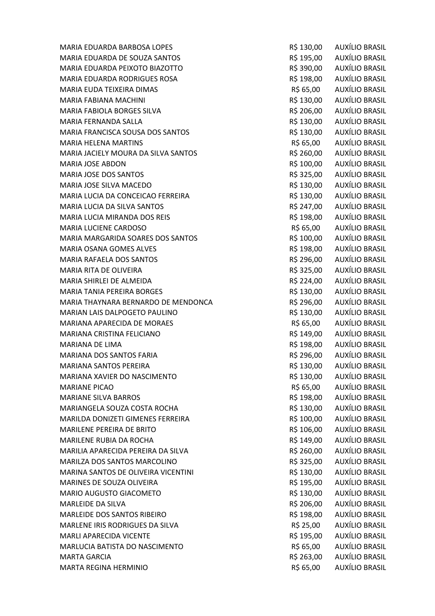MARIA EDUARDA DE SOUZA SANTOS R\$ 195,00 AUXÍLIO BRASIL MARIA EDUARDA PEIXOTO BIAZOTTO **REDUARDA PEIXOTO BIAZOTTO** R\$ 390,00 AUXÍLIO BRASIL MARIA EDUARDA RODRIGUES ROSA R\$ 198,00 AUXÍLIO BRASIL MARIA EUDA TEIXEIRA DIMAS R\$ 65,00 AUXÍLIO BRASIL MARIA FABIANA MACHINI R\$ 130,00 AUXÍLIO BRASIL MARIA FABIOLA BORGES SILVA RESIDO DE RESIDO DE AUXÍLIO BRASIL MARIA FERNANDA SALLA R\$ 130,00 AUXÍLIO BRASIL MARIA FRANCISCA SOUSA DOS SANTOS **External a Constantino AUXÍLIO BRASIL** MARIA HELENA MARTINS **Example 20 auxÍlio Brasil** R\$ 65,00 auxÍlio Brasil MARIA JACIELY MOURA DA SILVA SANTOS R\$ 260,00 AUXÍLIO BRASIL MARIA JOSE ABDON **R\$ 100,00** AUXÍLIO BRASIL MARIA JOSE DOS SANTOS DE EN ENTREGADO DE ENSIGADO DE ENSIGADO AUXÍLIO BRASIL MARIA JOSE SILVA MACEDO **R\$ 130,00 AUXÍLIO BRASIL** MARIA LUCIA DA CONCEICAO FERREIRA R\$ 130,00 AUXÍLIO BRASIL MARIA LUCIA DA SILVA SANTOS R\$ 247,00 AUXÍLIO BRASIL MARIA LUCIA MIRANDA DOS REIS **Reis Reis Reis Reis Rander RS 198,00 AUXÍLIO BRASIL** MARIA LUCIENE CARDOSO CONTROL DE CONSTRUITION EN SOLO DE RÉSISSON DE AUXÍLIO BRASIL MARIA MARGARIDA SOARES DOS SANTOS **Externa in Executo Executo AUXÍLIO BRASIL** MARIA OSANA GOMES ALVES **Example 20 aux 10 aux 10 aux 10 aux 10 aux 10 aux 10 aux 10 aux 10 aux 10 au**x 10 aux 10 MARIA RAFAELA DOS SANTOS CONSTRUITION DE RESERVIDO DE RASILIONALIA EN AUXÍLIO BRASIL MARIA RITA DE OLIVEIRA DE POLITICA E EN ENTRE EN ENTRE EN ENFERASIL DE RESISTO DE AUXÍLIO BRASIL MARIA SHIRLEI DE ALMEIDA **REGISTALE E ANGLIS E ALMEIDA** RS 224,00 AUXÍLIO BRASIL MARIA TANIA PEREIRA BORGES **R\$ 130,00 AUXÍLIO BRASIL** MARIA THAYNARA BERNARDO DE MENDONCA R\$ 296,00 AUXÍLIO BRASIL MARIAN LAIS DALPOGETO PAULINO **RESERVITS EN 130,00 AUXÍLIO BRASIL** MARIANA APARECIDA DE MORAES **AUXÍLIO BRASIL** R\$ 65,00 AUXÍLIO BRASIL MARIANA CRISTINA FELICIANO **REGIONALE EN EL ENTRAÑO EN 200 AUXÍLIO BRASIL** MARIANA DE LIMA R\$ 198,00 AUXÍLIO BRASIL MARIANA DOS SANTOS FARIA **RESISTENTES EN EL ENTREGO DE SANTOS FARIA** RESISTENTES EN EL ENTREGO DE AUXÍLIO BRASIL MARIANA SANTOS PEREIRA **REGIONALIZAÇÃO E EN 1999, ES 130,00 AUXÍLIO BRASIL** MARIANA XAVIER DO NASCIMENTO **R\$ 130,00 AUXÍLIO BRASIL** MARIANE PICAO CHE CONTROL CONTROL DE CONTROL DE CONTROL DE RESISTO AUXÍLIO BRASIL MARIANE SILVA BARROS **R\$ 198,00 AUXÍLIO BRASIL** MARIANGELA SOUZA COSTA ROCHA **REGISTA EN EL SOUZA COSTA ROCHA EL SOUZ**A COSTA ROCHA MARILDA DONIZETI GIMENES FERREIRA **R\$ 100,00** AUXÍLIO BRASIL MARILENE PEREIRA DE BRITO **E EN ENCOLO EN ENCOLO EN EL ENTREGADO EN EL ENTREGADO EN EL ENTREGADO EN EL ENTREGADO** MARILENE RUBIA DA ROCHA **REGISTA E E A CONSTANTE DE SE AUXÍLIO BRASIL** MARILIA APARECIDA PEREIRA DA SILVA RESIDENTE EN SANTO 1999, AUXÍLIO BRASIL MARILZA DOS SANTOS MARCOLINO **Externa de Santos Estados de Santo Auxílio Brasil** MARINA SANTOS DE OLIVEIRA VICENTINI CONTRASSIL EN ENGLANDO AUXÍLIO BRASIL MARINES DE SOUZA OLIVEIRA DE ENSIDE EN ENSIDE EN SIDE EN ENSIDE EN ENSIDE EN ENSIDE EN ENSIDE EN ENSIDE EN EN MARIO AUGUSTO GIACOMETO **E EN ENCOLO EN EL ENTREGADO EN EL ENTREGADO EN EL EL ENTREGADO EN EL EL EL EL EL EL E** MARLEIDE DA SILVA **R\$ 206,00 AUXÍLIO BRASIL** MARLEIDE DOS SANTOS RIBEIRO R\$ 198,00 AUXÍLIO BRASIL MARLENE IRIS RODRIGUES DA SILVA RÉ EN ENTRE EN 1989, AUXÍLIO BRASIL MARLI APARECIDA VICENTE EN EN ENSIDE EN ENGLANDO EN EN ENGLANDO AUXÍLIO BRASIL MARLUCIA BATISTA DO NASCIMENTO R\$ 65,00 AUXÍLIO BRASIL MARTA GARCIA REPORT OF THE SERVICE OF THE STATE RESERVED AND RESIDENCE AND ANNIHIO BRASIL MARTA REGINA HERMINIO R\$ 65,00 AUXÍLIO BRASIL

MARIA EDUARDA BARBOSA LOPES R\$ 130,00 AUXÍLIO BRASIL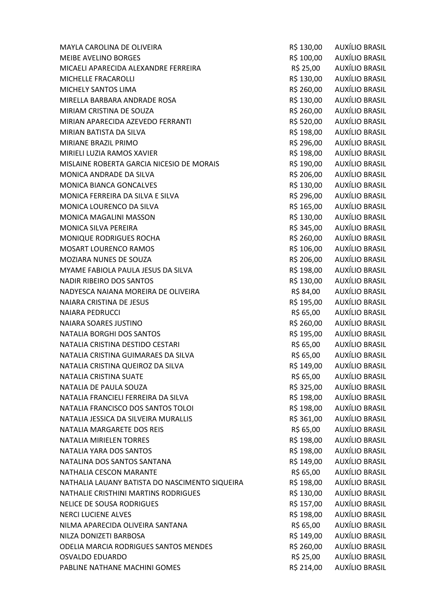| MAYLA CAROLINA DE OLIVEIRA                     | R\$ 130,00 | AUXÍLIO BRASIL            |
|------------------------------------------------|------------|---------------------------|
| <b>MEIBE AVELINO BORGES</b>                    | R\$ 100,00 | AUXÍLIO BRASIL            |
| MICAELI APARECIDA ALEXANDRE FERREIRA           |            | R\$ 25,00 AUXÍLIO BRASIL  |
| MICHELLE FRACAROLLI                            |            | R\$ 130,00 AUXÍLIO BRASIL |
| MICHELY SANTOS LIMA                            | R\$ 260,00 | AUXÍLIO BRASIL            |
| MIRELLA BARBARA ANDRADE ROSA                   | R\$ 130,00 | AUXÍLIO BRASIL            |
| MIRIAM CRISTINA DE SOUZA                       | R\$ 260,00 | AUXÍLIO BRASIL            |
| MIRIAN APARECIDA AZEVEDO FERRANTI              | R\$ 520,00 | <b>AUXÍLIO BRASIL</b>     |
| MIRIAN BATISTA DA SILVA                        | R\$ 198,00 | AUXÍLIO BRASIL            |
| MIRIANE BRAZIL PRIMO                           | R\$ 296,00 | AUXÍLIO BRASIL            |
| MIRIELI LUZIA RAMOS XAVIER                     | R\$ 198,00 | AUXÍLIO BRASIL            |
| MISLAINE ROBERTA GARCIA NICESIO DE MORAIS      | R\$ 190,00 | AUXÍLIO BRASIL            |
| MONICA ANDRADE DA SILVA                        |            | R\$ 206,00 AUXÍLIO BRASIL |
| <b>MONICA BIANCA GONCALVES</b>                 | R\$ 130,00 | AUXÍLIO BRASIL            |
| MONICA FERREIRA DA SILVA E SILVA               | R\$ 296,00 | AUXÍLIO BRASIL            |
| MONICA LOURENCO DA SILVA                       | R\$ 165,00 | AUXÍLIO BRASIL            |
| <b>MONICA MAGALINI MASSON</b>                  | R\$ 130,00 | AUXÍLIO BRASIL            |
| <b>MONICA SILVA PEREIRA</b>                    |            | R\$ 345,00 AUXÍLIO BRASIL |
| MONIQUE RODRIGUES ROCHA                        | R\$ 260,00 | AUXÍLIO BRASIL            |
| MOSART LOURENCO RAMOS                          | R\$ 106,00 | AUXÍLIO BRASIL            |
| MOZIARA NUNES DE SOUZA                         | R\$ 206,00 | AUXÍLIO BRASIL            |
| MYAME FABIOLA PAULA JESUS DA SILVA             | R\$ 198,00 | AUXÍLIO BRASIL            |
| <b>NADIR RIBEIRO DOS SANTOS</b>                | R\$ 130,00 | AUXÍLIO BRASIL            |
| NADYESCA NAIANA MOREIRA DE OLIVEIRA            | R\$ 84,00  | AUXÍLIO BRASIL            |
| NAIARA CRISTINA DE JESUS                       | R\$ 195,00 | AUXÍLIO BRASIL            |
| <b>NAIARA PEDRUCCI</b>                         | R\$ 65,00  | AUXÍLIO BRASIL            |
| NAIARA SOARES JUSTINO                          | R\$ 260,00 | <b>AUXÍLIO BRASIL</b>     |
| NATALIA BORGHI DOS SANTOS                      | R\$ 195,00 | AUXÍLIO BRASIL            |
| NATALIA CRISTINA DESTIDO CESTARI               | R\$ 65,00  | AUXÍLIO BRASIL            |
| NATALIA CRISTINA GUIMARAES DA SILVA            | R\$ 65,00  | AUXÍLIO BRASIL            |
| NATALIA CRISTINA QUEIROZ DA SILVA              | R\$ 149,00 | AUXÍLIO BRASIL            |
| NATALIA CRISTINA SUATE                         | R\$ 65,00  | <b>AUXÍLIO BRASIL</b>     |
| NATALIA DE PAULA SOUZA                         | R\$ 325,00 | <b>AUXÍLIO BRASIL</b>     |
| NATALIA FRANCIELI FERREIRA DA SILVA            |            | R\$ 198,00 AUXÍLIO BRASIL |
| NATALIA FRANCISCO DOS SANTOS TOLOI             | R\$ 198,00 | AUXÍLIO BRASIL            |
| NATALIA JESSICA DA SILVEIRA MURALLIS           | R\$ 361,00 | AUXÍLIO BRASIL            |
| NATALIA MARGARETE DOS REIS                     | R\$ 65,00  | AUXÍLIO BRASIL            |
| <b>NATALIA MIRIELEN TORRES</b>                 | R\$ 198,00 | AUXÍLIO BRASIL            |
| NATALIA YARA DOS SANTOS                        | R\$ 198,00 | AUXÍLIO BRASIL            |
| NATALINA DOS SANTOS SANTANA                    | R\$ 149,00 | AUXÍLIO BRASIL            |
| NATHALIA CESCON MARANTE                        | R\$ 65,00  | <b>AUXÍLIO BRASIL</b>     |
| NATHALIA LAUANY BATISTA DO NASCIMENTO SIQUEIRA | R\$ 198,00 | AUXÍLIO BRASIL            |
| NATHALIE CRISTHINI MARTINS RODRIGUES           | R\$ 130,00 | AUXÍLIO BRASIL            |
| NELICE DE SOUSA RODRIGUES                      | R\$ 157,00 | AUXÍLIO BRASIL            |
| <b>NERCI LUCIENE ALVES</b>                     | R\$ 198,00 | <b>AUXÍLIO BRASIL</b>     |
| NILMA APARECIDA OLIVEIRA SANTANA               | R\$ 65,00  | <b>AUXÍLIO BRASIL</b>     |
| NILZA DONIZETI BARBOSA                         | R\$ 149,00 | AUXÍLIO BRASIL            |
| ODELIA MARCIA RODRIGUES SANTOS MENDES          | R\$ 260,00 | AUXÍLIO BRASIL            |
| <b>OSVALDO EDUARDO</b>                         | R\$ 25,00  | AUXÍLIO BRASIL            |
| PABLINE NATHANE MACHINI GOMES                  | R\$ 214,00 | <b>AUXÍLIO BRASIL</b>     |
|                                                |            |                           |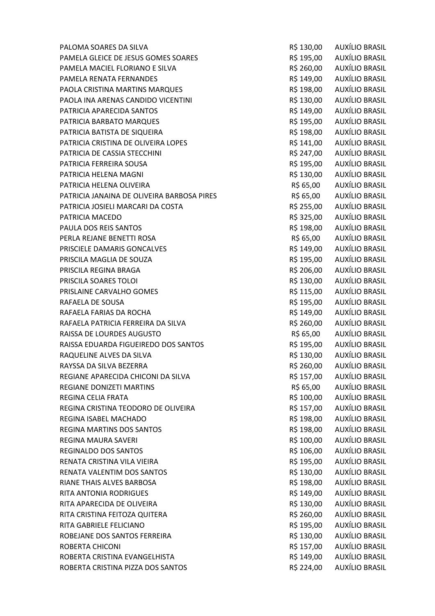PALOMA SOARES DA SILVA CONTROL EN CONTROL DE CONTROLETA EN 130.00 AUXÍLIO BRASIL PAMELA GLEICE DE JESUS GOMES SOARES **REGISTER EN SOLO AUXÍLIO BRASIL** PAMELA MACIEL FLORIANO E SILVA R\$ 260,00 AUXÍLIO BRASIL PAMELA RENATA FERNANDES **R\$ 149,00 AUXÍLIO BRASIL** PAOLA CRISTINA MARTINS MARQUES **R\$ 198,00** AUXÍLIO BRASIL PAOLA INA ARENAS CANDIDO VICENTINI CHE ESTADO EN RESTA AUXÍLIO BRASIL PATRICIA APARECIDA SANTOS DE EN ENSEGUIDA EN ENSIDENTADO AUXÍLIO BRASIL PATRICIA BARBATO MARQUES **R\$ 195,00 AUXÍLIO BRASIL** PATRICIA BATISTA DE SIQUEIRA **RESIDENTE E EN ENGLIS E EN ENGLIS DE SI**DERASIL PATRICIA CRISTINA DE OLIVEIRA LOPES R\$ 141,00 AUXÍLIO BRASIL PATRICIA DE CASSIA STECCHINI DE CASSIA STECCHINI DE CASSIL EN ENTRE EN ENTRE EN ENTRE EN ENTRE EN ENTRE EN EN PATRICIA FERREIRA SOUSA **R\$ 195,00 AUXÍLIO BRASIL** PATRICIA HELENA MAGNI **REDUCES EN ELECCIÓN EN ELECCIÓN ELECCIÓN ELECCIÓN ELECCIÓN ELECCIÓN ELECCIÓN ELECCIÓN E** PATRICIA HELENA OLIVEIRA DE EN ENTRE EN ENTRE EN ENGLACIA EL ENTRE EN ENGLACIA EL ENTRE EN EN ENGLACIA EL ENTR PATRICIA JANAINA DE OLIVEIRA BARBOSA PIRES R\$ 65,00 AUXÍLIO BRASIL PATRICIA JOSIELI MARCARI DA COSTA **REGISTA E AUXÍLIO BRASIL** PATRICIA MACEDO **R\$ 325,00 AUXÍLIO BRASIL** PAULA DOS REIS SANTOS R\$ 198,00 AUXÍLIO BRASIL PERLA REJANE BENETTI ROSA **REJANE BENETTI ROSA** R\$ 65,00 AUXÍLIO BRASIL PRISCIELE DAMARIS GONCALVES **Example 20 auxILIO BRASIL** R\$ 149,00 AUXÍLIO BRASIL PRISCILA MAGLIA DE SOUZA R\$ 195,00 AUXÍLIO BRASIL PRISCILA REGINA BRAGA **R\$ 206,00 AUXÍLIO BRASIL** PRISCILA SOARES TOLOI **External Solution Contract Contract Contract Contract Contract Contract Contract Contract Contract Contract Contract Contract Contract Contract Contract Contract Contract Contract Contract Contract C** PRISLAINE CARVALHO GOMES **Example 20 auxILIO BRASIL** R\$ 115,00 AUXÍLIO BRASIL RAFAELA DE SOUSA DE SOUSA EN ENSEMBLEMENTS EN ENSEMBLEMENTS EN ENGLANDE EN EN ENSEMBLEMENTS EN EN EN EN EN EN RAFAELA FARIAS DA ROCHA **REGISTA E A CONSTANTA E A CONSTANTIA E A CONSTANTIA E A CONSTANTIA E A CONSTANTIA E A CONSTANTIA E A CONSTANTIA E A CONSTANTIA E A CONSTANTIA E A CONSTANTIA E A CONSTANTIA E A CONSTANTIA E A CONSTA** RAFAELA PATRICIA FERREIRA DA SILVA CONTENTE EN ENTREGADO AUXÍLIO BRASIL RAISSA DE LOURDES AUGUSTO CONSUMINATION DE RESISTO CONSUMINATION DE RESISTO DE LOURDES AUXÍLIO BRASIL RAISSA EDUARDA FIGUEIREDO DOS SANTOS **RAISSA EDUARDA FIGUEIREDO DOS SANTOS** RÓMETAS RAISSA EN 195,00 AUXÍLIO BRASIL RAQUELINE ALVES DA SILVA RESIDENTE EN ENTRE EN ENGLACIA DE RESIDENTADA RESIDENTADA DE AUXÍLIO BRASIL RAYSSA DA SILVA BEZERRA GALA DA SANTA REGIONALE EN SANTA REGIONALE A REGIONALE EN ANGELE EN EL ESTE DE REGIONA REGIANE APARECIDA CHICONI DA SILVA RS 157,00 AUXÍLIO BRASIL REGIANE DONIZETI MARTINS R\$ 65,00 AUXÍLIO BRASIL REGINA CELIA FRATA REGINA CELIA FRATA REGINA CELIA FRATA REGINA CRISTINA TEODORO DE OLIVEIRA CRISTINA DE SANTO AUXÍLIO BRASIL REGINA ISABEL MACHADO **R\$ 198,00 AUXÍLIO BRASIL** REGINA MARTINS DOS SANTOS DE EN ENTREGIO DE LA ENSIGNACIA DE REGINA MARTINS DOS SANTOS REGINA MAURA SAVERI REGINA MAURA SAVERI RISPORTA E ETA ESTADO AUXÍLIO BRASIL REGINALDO DOS SANTOS **R\$ 106,00 AUXÍLIO BRASIL** RENATA CRISTINA VILA VIEIRA RENATA CRISTINA VILA VIEIRA RENATA CRISTINA VILA VIEIRA RENATA VALENTIM DOS SANTOS RENATA EN EN ENGLACIA EN ENGLACIA EN ENGLACIA EN ENGLACIA EN EN ENGLACIA EN EN ENGL RIANE THAIS ALVES BARBOSA **REGISTED SE AUXÍLIO BRASIL** RITA ANTONIA RODRIGUES **R\$ 149,00 AUXÍLIO BRASIL** RITA APARECIDA DE OLIVEIRA CONSTRUITA EN 1889, EN 1898, AUXÍLIO BRASIL RITA CRISTINA FEITOZA QUITERA REDESSED E ANNO 1999 DE RESISTANTE REDESSED AUXÍLIO BRASIL RITA GABRIELE FELICIANO R\$ 195,00 AUXÍLIO BRASIL ROBEJANE DOS SANTOS FERREIRA RESERVEIRA RESERVEIRO AUXÍLIO BRASIL ROBERTA CHICONI **ROBERTA CHICONI** CHICONI CHICONI RESISTANTI RESISTANTI RESISTANTI RESISTANTI RESISTANTI RESISTANTI RESISTANTI RESISTANTI RESISTANTI RESISTANTI RESISTANTI RESISTANTI RESISTANTI RESISTANTI RESISTANTI RESISTA ROBERTA CRISTINA EVANGELHISTA CHE CONTROL CONTROL AUXÍLIO BRASIL ROBERTA CRISTINA PIZZA DOS SANTOS **RESISTA EN SE 224,00 AUXÍLIO BRASIL**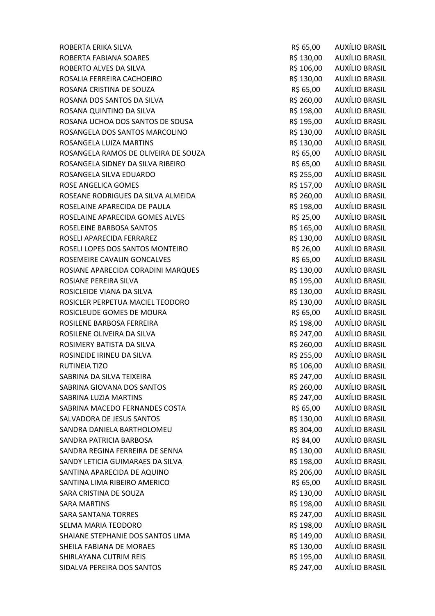ROBERTA ERIKA SILVA ROBERTA ERIKA SILVA RIS ANG ERIKA SILVA RIS ANG PARASILADA ERIKA SILVA ANG ERIKA ERIKA ANG ROBERTA FABIANA SOARES **ROBERTA FABIANA SOARES R\$ 130,00** AUXÍLIO BRASIL ROBERTO ALVES DA SILVA ROBERTO ALVES DA SILVA ROSALIA FERREIRA CACHOEIRO **REGIONALIZA EN SEGUNDO EN SEGUNDO EN AUXÍLIO BRASIL** ROSANA CRISTINA DE SOUZA **Extração de Soute de Soute de Soute de Soute de Soute de Soute de Soute de Soute de S** ROSANA DOS SANTOS DA SILVA CONTENTE EN ENTREGADO DE RESIDO DE AUXÍLIO BRASIL ROSANA QUINTINO DA SILVA RESIDENTE E A RESIDIO DE AUXÍLIO BRASIL ROSANA UCHOA DOS SANTOS DE SOUSA R\$ 195,00 AUXÍLIO BRASIL ROSANGELA DOS SANTOS MARCOLINO **RESISTENTES EN SANTOS AUXÍLIO BRASIL** ROSANGELA LUIZA MARTINS **ROSANGELA LUIZA MARTINS R\$ 130,00** AUXÍLIO BRASIL ROSANGELA RAMOS DE OLIVEIRA DE SOUZA R\$ 65,00 AUXÍLIO BRASIL ROSANGELA SIDNEY DA SILVA RIBEIRO **REGIONALE E AUXÍLIO BRASIL** ROSANGELA SILVA EDUARDO **REGIONALE EN SEGUNDO EN SEGUNDO EN SEGUNDO EN SEGUNDO EN SEGUNDO EN SEGUNDO EN SEGUNDO** ROSE ANGELICA GOMES **R\$ 157,00** AUXÍLIO BRASIL ROSEANE RODRIGUES DA SILVA ALMEIDA R\$ 260,00 AUXÍLIO BRASIL ROSELAINE APARECIDA DE PAULA **REGISTE EN 198,00 AUXÍLIO BRASIL** ROSELAINE APARECIDA GOMES ALVES **R\$ 25,00** AUXÍLIO BRASIL ROSELEINE BARBOSA SANTOS **ROSELEINE BARBOSA SANTOS R**\$ 165,00 AUXÍLIO BRASIL ROSELI APARECIDA FERRAREZ **REGIONALE EN EL ENTREGIO DE LA CONSTANTIVIA EN 2018 EN 2018 EN 2018 EN 2018** ROSELI LOPES DOS SANTOS MONTEIRO **R\$ 26,00** AUXÍLIO BRASIL ROSEMEIRE CAVALIN GONCALVES **Example 20 AUXÍLIO BRASIL** R\$ 65,00 AUXÍLIO BRASIL ROSIANE APARECIDA CORADINI MARQUES **R\$ 130,00** AUXÍLIO BRASIL ROSIANE PEREIRA SILVA **RS 195,00 AUXÍLIO BRASIL** ROSICLEIDE VIANA DA SILVA RESIDENTE EN ENTRE EN ENTRE EN ENTRE EN ENTRE EN ENTRE EN EN EN EN EN EN EN EN EN E ROSICLER PERPETUA MACIEL TEODORO **R\$ 130,00** AUXÍLIO BRASIL ROSICLEUDE GOMES DE MOURA **Extra a constanting a constanting and results** and results and results and results and results are results and results and results are results and results are results and results are results and ROSILENE BARBOSA FERREIRA **REGISTER EN ENGLIS EN SEGONO AUXÍLIO BRASIL** ROSILENE OLIVEIRA DA SILVA CONTRADE EN ENTREGADO DE ARSILADO DE AUXÍLIO BRASIL ROSIMERY BATISTA DA SILVA RESPONSE EN ENTRAÎNDO DE AUXÍLIO BRASIL ROSINEIDE IRINEU DA SILVA RES 255,00 AUXÍLIO BRASIL RUTINEIA TIZO **REGIONALE E EN EL ENTREGO DE LA CALCACIA EN EL ENTREGO DE LA CALCACIA EN EL ENTREGO DE LA CALCACIA** SABRINA DA SILVA TEIXEIRA DA SABRINA DA SILVA TEIXEIRA DE ENTRE EN ENTRE EN ENTRE EN ENTRE EN ENFERASIL SABRINA GIOVANA DOS SANTOS DE EN ENTREGADO EN ENSENCIA EN ENSENCIA EL ENTREGADO EN AUXÍLIO BRASIL SABRINA LUZIA MARTINS TARROUSE EN EL ENTREGADO DE LA CABRINA EN EL ENTREGADO DE LA CABRINA EN EL ENTREGADO DE SABRINA MACEDO FERNANDES COSTA CONTRA RÍS 65.00 AUXÍLIO BRASIL SALVADORA DE JESUS SANTOS DE ENTRE EN ENTRE EN ENGLACIA EN ENTRE EN ENTRE EN ENGLACIA EN EN ENGLACIA EN ENFERMEN SANDRA DANIELA BARTHOLOMEU **R\$ 304,00** AUXÍLIO BRASIL SANDRA PATRICIA BARBOSA R\$ 84,00 AUXÍLIO BRASIL SANDRA REGINA FERREIRA DE SENNA REGINA EN ENSIDENTA EN SANDRO AUXÍLIO BRASIL SANDY LETICIA GUIMARAES DA SILVA RESIDENTE EN RESIDO AUXÍLIO BRASIL SANTINA APARECIDA DE AQUINO **Externa a construir en el producto de la construir en el producto de la construir e** SANTINA LIMA RIBEIRO AMERICO **R\$ 65,00 AUXÍLIO BRASIL** SARA CRISTINA DE SOUZA R\$ 130,00 AUXÍLIO BRASIL SARA MARTINS RESERVED AND RESERVED BY A SARA MARTINS RESERVED AND RESERVED AND RESERVED BY A SARABILITY OF A SA SARA SANTANA TORRES EN EN ENGLOS DE EN ENGLOS DE EN ENGLOS DE EN ENGLOS DE EN ENGLOS DE ENGLOS DE ENGLOS DE EN SELMA MARIA TEODORO R\$ 198,00 AUXÍLIO BRASIL SHAIANE STEPHANIE DOS SANTOS LIMA RS 149,00 AUXÍLIO BRASIL SHEILA FABIANA DE MORAES **RESERVES EN ENGLOS EN ENGLOS EN ENGLOS EN ENGLOS EN ENGLOS EN ENGLOS EN ENGLOS EN EN** SHIRLAYANA CUTRIM REIS **REIS AN INCLUST A CONTROLL** R\$ 195,00 AUXÍLIO BRASIL SIDALVA PEREIRA DOS SANTOS CONTRASSENTES EN ENTRAÎNA DE RESIDALVA PEREIRA DOS SANTOS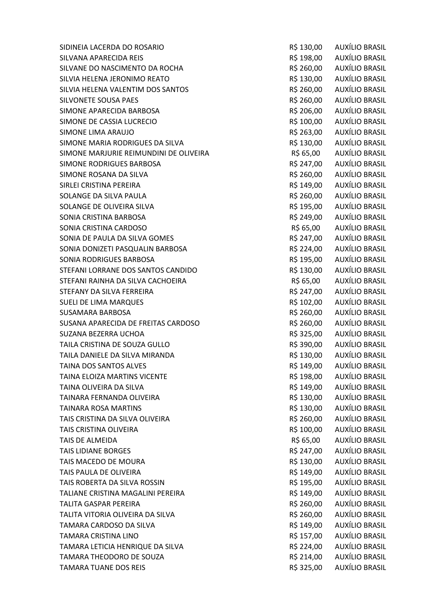SIDINEIA LACERDA DO ROSARIO CONSTRUIDO EN EL ENTREGADO DE AUXÍLIO BRASIL SILVANA APARECIDA REIS CHE ESSE EN CONTROL EN SUNT ANNO 198,000 AUXÍLIO BRASIL SILVANE DO NASCIMENTO DA ROCHA RESIDENTE E RESIDIO DA ROCHA RESIDENTE RESIDENTE RESIDENTE E AUXÍLIO BRASIL SILVIA HELENA JERONIMO REATO **REATO ELEGADO ELEGADO ELEGADO ELEGADO ELEGADO ELEGADO ELEGADO ELEGADO ELEGADO ELE** SILVIA HELENA VALENTIM DOS SANTOS **AUXÍLIO BRASIL** RS 260,00 AUXÍLIO BRASIL SILVONETE SOUSA PAES **R\$ 260,00 AUXÍLIO BRASIL** SIMONE APARECIDA BARBOSA **REGISTA E AUXÍLIO BRASIL** SIMONE DE CASSIA LUCRECIO **RECIONE E EN 100,00 AUXÍLIO BRASIL** SIMONE LIMA ARAUJO **R\$ 263,00 AUXÍLIO BRASIL** SIMONE MARIA RODRIGUES DA SILVA RESERVEDENTE EN SANTO AUXÍLIO BRASIL SIMONE MARJURIE REIMUNDINI DE OLIVEIRA R\$ 65,00 AUXÍLIO BRASIL SIMONE RODRIGUES BARBOSA **REGISTER EN ENGLIS DE SE AUXÍLIO BRASIL** SIMONE ROSANA DA SILVA CHE EN ENTREGIO DE CONSTITUIU EN ENSIDO DE AUXÍLIO BRASIL SIRLEI CRISTINA PEREIRA **R\$ 149,00** AUXÍLIO BRASIL SOLANGE DA SILVA PAULA **R\$ 260,00 AUXÍLIO BRASIL** SOLANGE DE OLIVEIRA SILVA RESIDENTE EN ENGLANGE DE OLIVEIRA SILVA SONIA CRISTINA BARBOSA RS 249,00 AUXÍLIO BRASIL SONIA CRISTINA CARDOSO SONIA CONSTRUITION AND RESIDENT RESIDENT AND AUXÍLIO BRASIL SONIA DE PAULA DA SILVA GOMES CONTRADO EN ENSIGADO DE PAUXÍLIO BRASIL SONIA DONIZETI PASQUALIN BARBOSA R\$ 224,00 AUXÍLIO BRASIL SONIA RODRIGUES BARBOSA R\$ 195,00 AUXÍLIO BRASIL STEFANI LORRANE DOS SANTOS CANDIDO **RESISTEMA EN 130,00 AUXÍLIO BRASIL** STEFANI RAINHA DA SILVA CACHOEIRA R\$ 65,00 AUXÍLIO BRASIL STEFANY DA SILVA FERREIRA **REGIONAL EN ENGLIS EN 1999, EL ENTREGIA EN 1999, EL ENCLIS EN 1999, EL ENCLIS EN 199** SUELI DE LIMA MARQUES **Entrant de la componentación de la componentación de la componentación de la componentación** SUSAMARA BARBOSA R\$ 260,00 AUXÍLIO BRASIL SUSANA APARECIDA DE FREITAS CARDOSO **RECONO EN SEU AUXÍLIO BRASIL** SUZANA BEZERRA UCHOA **R\$ 325,00 AUXÍLIO BRASIL** TAILA CRISTINA DE SOUZA GULLO **RESISTEMENTE EN 1980,00 AUXÍLIO BRASIL** TAILA DANIELE DA SILVA MIRANDA **REGIONALE DA SILVA MIRANDA** R\$ 130,00 AUXÍLIO BRASIL TAINA DOS SANTOS ALVES **EN ENTRAÑO EN EL ENTRAÑO EN EL ENTRAÑO EN EL ENTRAÑO EN EL ENTRAÑO EN EL ENTRAÑO EN EL E** TAINA ELOIZA MARTINS VICENTE **AUXÍLIO BRASIL** R\$ 198,00 AUXÍLIO BRASIL TAINA OLIVEIRA DA SILVA CHE E ANNO 1999 DE CANADA E A RESIDIO DE AUXÍLIO BRASIL TAINARA FERNANDA OLIVEIRA **REGIONALE EN ENGLIS EN SEGUIDE DE LA CONSTITUTIVA EN 130.00** AUXÍLIO BRASIL TAINARA ROSA MARTINS R\$ 130,00 AUXÍLIO BRASIL TAIS CRISTINA DA SILVA OLIVEIRA CONTRADO EN ENTREGADO DE RESTAS A AUXÍLIO BRASIL TAIS CRISTINA OLIVEIRA DE EN ENTRE EN ENTRE EN ENGLACIA EN ENGLACIA EN EN ENGLACIA EN ENFERASIL TAIS DE ALMEIDA **R\$ 65,00** AUXÍLIO BRASIL TAIS LIDIANE BORGES **R\$ 247,00 AUXÍLIO BRASIL** TAIS MACEDO DE MOURA **R\$ 130,00 AUXÍLIO BRASIL** TAIS PAULA DE OLIVEIRA DE CONSTANTINO EN ENTRE EN 1998 EN 149.00 AUXÍLIO BRASIL TAIS ROBERTA DA SILVA ROSSIN CONTRASSED E CONSTRUITION R\$ 195,00 AUXÍLIO BRASIL TALIANE CRISTINA MAGALINI PEREIRA **R\$ 149,00** AUXÍLIO BRASIL TALITA GASPAR PEREIRA **R\$ 260,00 AUXÍLIO BRASIL** TALITA VITORIA OLIVEIRA DA SILVA REPORTEDO EN ENTRAJ RES 260,00 AUXÍLIO BRASIL TAMARA CARDOSO DA SILVA RÉTANDO DE RESIDIO DE RESIDIO DE AUXÍLIO BRASIL TAMARA CRISTINA LINO R\$ 157,00 AUXÍLIO BRASIL TAMARA LETICIA HENRIQUE DA SILVA RESIDENTE EN SALO AUXÍLIO BRASIL TAMARA THEODORO DE SOUZA **REGISTA E AUXÍLIO BRASIL** RES 214,00 AUXÍLIO BRASIL TAMARA TUANE DOS REIS **REIS EN ENGLISHED EN ENGLISHED AUXÍLIO BRASIL**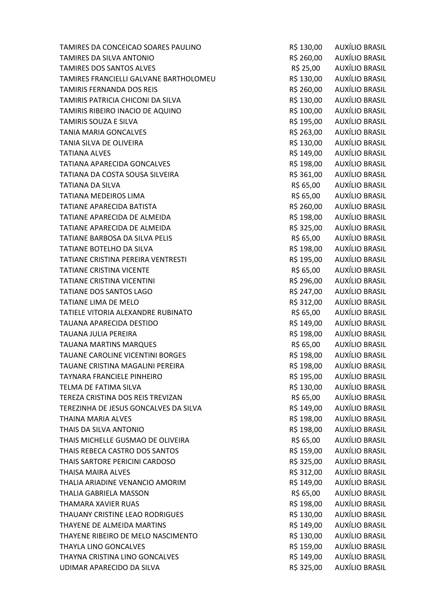| TAMIRES DA CONCEICAO SOARES PAULINO    | R\$ 130,00 | AUXÍLIO BRASIL        |
|----------------------------------------|------------|-----------------------|
| TAMIRES DA SILVA ANTONIO               | R\$ 260,00 | AUXÍLIO BRASIL        |
| <b>TAMIRES DOS SANTOS ALVES</b>        | R\$ 25,00  | AUXÍLIO BRASIL        |
| TAMIRES FRANCIELLI GALVANE BARTHOLOMEU | R\$ 130,00 | AUXÍLIO BRASIL        |
| <b>TAMIRIS FERNANDA DOS REIS</b>       | R\$ 260,00 | AUXÍLIO BRASIL        |
| TAMIRIS PATRICIA CHICONI DA SILVA      | R\$ 130,00 | AUXÍLIO BRASIL        |
| TAMIRIS RIBEIRO INACIO DE AQUINO       | R\$ 100,00 | <b>AUXÍLIO BRASIL</b> |
| <b>TAMIRIS SOUZA E SILVA</b>           | R\$ 195,00 | <b>AUXÍLIO BRASIL</b> |
| <b>TANIA MARIA GONCALVES</b>           | R\$ 263,00 | AUXÍLIO BRASIL        |
| TANIA SILVA DE OLIVEIRA                | R\$ 130,00 | <b>AUXÍLIO BRASIL</b> |
| <b>TATIANA ALVES</b>                   | R\$ 149,00 | AUXÍLIO BRASIL        |
| <b>TATIANA APARECIDA GONCALVES</b>     | R\$ 198,00 | <b>AUXÍLIO BRASIL</b> |
| TATIANA DA COSTA SOUSA SILVEIRA        | R\$ 361,00 | AUXÍLIO BRASIL        |
| <b>TATIANA DA SILVA</b>                | R\$ 65,00  | <b>AUXÍLIO BRASIL</b> |
| <b>TATIANA MEDEIROS LIMA</b>           | R\$ 65,00  | <b>AUXÍLIO BRASIL</b> |
| <b>TATIANE APARECIDA BATISTA</b>       | R\$ 260,00 | <b>AUXÍLIO BRASIL</b> |
| TATIANE APARECIDA DE ALMEIDA           | R\$ 198,00 | AUXÍLIO BRASIL        |
| TATIANE APARECIDA DE ALMEIDA           | R\$ 325,00 | AUXÍLIO BRASIL        |
| TATIANE BARBOSA DA SILVA PELIS         | R\$ 65,00  | <b>AUXÍLIO BRASIL</b> |
| TATIANE BOTELHO DA SILVA               | R\$ 198,00 | AUXÍLIO BRASIL        |
| TATIANE CRISTINA PEREIRA VENTRESTI     | R\$ 195,00 | <b>AUXÍLIO BRASIL</b> |
| <b>TATIANE CRISTINA VICENTE</b>        | R\$ 65,00  | <b>AUXÍLIO BRASIL</b> |
| <b>TATIANE CRISTINA VICENTINI</b>      | R\$ 296,00 | AUXÍLIO BRASIL        |
| <b>TATIANE DOS SANTOS LAGO</b>         | R\$ 247,00 | AUXÍLIO BRASIL        |
| TATIANE LIMA DE MELO                   | R\$ 312,00 | <b>AUXÍLIO BRASIL</b> |
| TATIELE VITORIA ALEXANDRE RUBINATO     | R\$ 65,00  | <b>AUXÍLIO BRASIL</b> |
| TAUANA APARECIDA DESTIDO               | R\$ 149,00 | <b>AUXÍLIO BRASIL</b> |
| <b>TAUANA JULIA PEREIRA</b>            | R\$ 198,00 | AUXÍLIO BRASIL        |
| <b>TAUANA MARTINS MARQUES</b>          | R\$ 65,00  | AUXÍLIO BRASIL        |
| TAUANE CAROLINE VICENTINI BORGES       | R\$ 198,00 | AUXÍLIO BRASIL        |
| TAUANE CRISTINA MAGALINI PEREIRA       | R\$ 198,00 | AUXÍLIO BRASIL        |
| TAYNARA FRANCIELE PINHEIRO             | R\$ 195,00 | AUXÍLIO BRASIL        |
| TELMA DE FATIMA SILVA                  | R\$ 130,00 | AUXÍLIO BRASIL        |
| TEREZA CRISTINA DOS REIS TREVIZAN      | R\$ 65,00  | <b>AUXÍLIO BRASIL</b> |
| TEREZINHA DE JESUS GONCALVES DA SILVA  | R\$ 149,00 | <b>AUXÍLIO BRASIL</b> |
| <b>THAINA MARIA ALVES</b>              | R\$ 198,00 | AUXÍLIO BRASIL        |
| THAIS DA SILVA ANTONIO                 | R\$ 198,00 | <b>AUXÍLIO BRASIL</b> |
| THAIS MICHELLE GUSMAO DE OLIVEIRA      | R\$ 65,00  | <b>AUXÍLIO BRASIL</b> |
| THAIS REBECA CASTRO DOS SANTOS         | R\$ 159,00 | AUXÍLIO BRASIL        |
| THAIS SARTORE PERICINI CARDOSO         | R\$ 325,00 | <b>AUXÍLIO BRASIL</b> |
| <b>THAISA MAIRA ALVES</b>              | R\$ 312,00 | <b>AUXÍLIO BRASIL</b> |
| THALIA ARIADINE VENANCIO AMORIM        | R\$ 149,00 | <b>AUXÍLIO BRASIL</b> |
| THALIA GABRIELA MASSON                 | R\$ 65,00  | AUXÍLIO BRASIL        |
| THAMARA XAVIER RUAS                    | R\$ 198,00 | <b>AUXÍLIO BRASIL</b> |
| THAUANY CRISTINE LEAO RODRIGUES        | R\$ 130,00 | <b>AUXÍLIO BRASIL</b> |
| THAYENE DE ALMEIDA MARTINS             | R\$ 149,00 | <b>AUXÍLIO BRASIL</b> |
| THAYENE RIBEIRO DE MELO NASCIMENTO     | R\$ 130,00 | AUXÍLIO BRASIL        |
| THAYLA LINO GONCALVES                  | R\$ 159,00 | <b>AUXÍLIO BRASIL</b> |
| THAYNA CRISTINA LINO GONCALVES         | R\$ 149,00 | AUXÍLIO BRASIL        |
| UDIMAR APARECIDO DA SILVA              | R\$ 325,00 | <b>AUXÍLIO BRASIL</b> |
|                                        |            |                       |